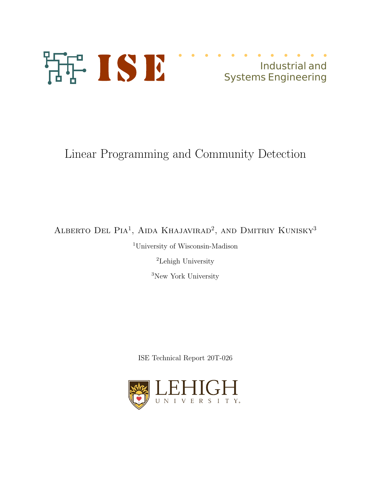

## Industrial and Systems Engineering

# Linear Programming and Community Detection

ALBERTO DEL PIA<sup>1</sup>, AIDA KHAJAVIRAD<sup>2</sup>, AND DMITRIY KUNISKY<sup>3</sup>

<sup>1</sup>University of Wisconsin-Madison

<sup>2</sup>Lehigh University

<sup>3</sup>New York University

ISE Technical Report 20T-026

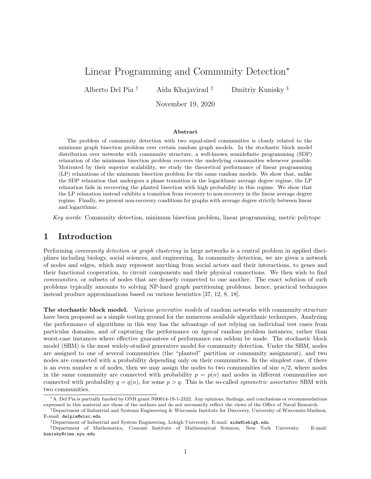## Linear Programming and Community Detection<sup>∗</sup>

Alberto Del Pia † Aida Khajavirad ‡ Dmitriy Kunisky §

November 19, 2020

#### Abstract

The problem of community detection with two equal-sized communities is closely related to the minimum graph bisection problem over certain random graph models. In the stochastic block model distribution over networks with community structure, a well-known semidefinite programming (SDP) relaxation of the minimum bisection problem recovers the underlying communities whenever possible. Motivated by their superior scalability, we study the theoretical performance of linear programming (LP) relaxations of the minimum bisection problem for the same random models. We show that, unlike the SDP relaxation that undergoes a phase transition in the logarithmic average degree regime, the LP relaxation fails in recovering the planted bisection with high probability in this regime. We show that the LP relaxation instead exhibits a transition from recovery to non-recovery in the linear average degree regime. Finally, we present non-recovery conditions for graphs with average degree strictly between linear and logarithmic.

Key words: Community detection, minimum bisection problem, linear programming, metric polytope

## 1 Introduction

Performing community detection or graph clustering in large networks is a central problem in applied disciplines including biology, social sciences, and engineering. In community detection, we are given a network of nodes and edges, which may represent anything from social actors and their interactions, to genes and their functional cooperation, to circuit components and their physical connections. We then wish to find communities, or subsets of nodes that are densely connected to one another. The exact solution of such problems typically amounts to solving NP-hard graph partitioning problems; hence, practical techniques instead produce approximations based on various heuristics [37, 12, 8, 18].

The stochastic block model. Various *generative models* of random networks with community structure have been proposed as a simple testing ground for the numerous available algorithmic techniques. Analyzing the performance of algorithms in this way has the advantage of not relying on individual test cases from particular domains, and of capturing the performance on typical random problem instances, rather than worst-case instances where effective guarantees of performance can seldom be made. The stochastic block model (SBM) is the most widely-studied generative model for community detection. Under the SBM, nodes are assigned to one of several communities (the "planted" partition or community assignment), and two nodes are connected with a probability depending only on their communities. In the simplest case, if there is an even number n of nodes, then we may assign the nodes to two communities of size  $n/2$ , where nodes in the same community are connected with probability  $p = p(n)$  and nodes in different communities are connected with probability  $q = q(n)$ , for some  $p > q$ . This is the so-called *symmetric assortative* SBM with two communities.

<sup>∗</sup>A. Del Pia is partially funded by ONR grant N00014-19-1-2322. Any opinions, findings, and conclusions or recommendations expressed in this material are those of the authors and do not necessarily reflect the views of the Office of Naval Research.

<sup>†</sup>Department of Industrial and Systems Engineering & Wisconsin Institute for Discovery, University of Wisconsin-Madison. E-mail: delpia@wisc.edu

<sup>‡</sup>Department of Industrial and System Engineering, Lehigh University. E-mail: aida@lehigh.edu.

<sup>§</sup>Department of Mathematics, Courant Institute of Mathematical Sciences, New York University. E-mail: kunisky@cims.nyu.edu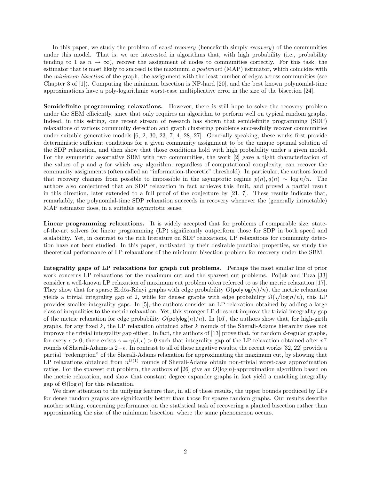In this paper, we study the problem of *exact recovery* (henceforth simply *recovery*) of the communities under this model. That is, we are interested in algorithms that, with high probability (i.e., probability tending to 1 as  $n \to \infty$ ), recover the assignment of nodes to communities correctly. For this task, the estimator that is most likely to succeed is the maximum a posteriori (MAP) estimator, which coincides with the *minimum bisection* of the graph, the assignment with the least number of edges across communities (see Chapter 3 of [1]). Computing the minimum bisection is NP-hard [20], and the best known polynomial-time approximations have a poly-logarithmic worst-case multiplicative error in the size of the bisection [24].

Semidefinite programming relaxations. However, there is still hope to solve the recovery problem under the SBM efficiently, since that only requires an algorithm to perform well on typical random graphs. Indeed, in this setting, one recent stream of research has shown that semidefinite programming (SDP) relaxations of various community detection and graph clustering problems successfully recover communities under suitable generative models [6, 2, 30, 23, 7, 4, 28, 27]. Generally speaking, these works first provide deterministic sufficient conditions for a given community assignment to be the unique optimal solution of the SDP relaxation, and then show that those conditions hold with high probability under a given model. For the symmetric assortative SBM with two communities, the work [2] gave a tight characterization of the values of p and q for which any algorithm, regardless of computational complexity, can recover the community assignments (often called an "information-theoretic" threshold). In particular, the authors found that recovery changes from possible to impossible in the asymptotic regime  $p(n), q(n) \sim \log n/n$ . The authors also conjectured that an SDP relaxation in fact achieves this limit, and proved a partial result in this direction, later extended to a full proof of the conjecture by  $[21, 7]$ . These results indicate that, remarkably, the polynomial-time SDP relaxation succeeds in recovery whenever the (generally intractable) MAP estimator does, in a suitable asymptotic sense.

Linear programming relaxations. It is widely accepted that for problems of comparable size, stateof-the-art solvers for linear programming (LP) significantly outperform those for SDP in both speed and scalability. Yet, in contrast to the rich literature on SDP relaxations, LP relaxations for community detection have not been studied. In this paper, motivated by their desirable practical properties, we study the theoretical performance of LP relaxations of the minimum bisection problem for recovery under the SBM.

Integrality gaps of LP relaxations for graph cut problems. Perhaps the most similar line of prior work concerns LP relaxations for the maximum cut and the sparsest cut problems. Poljak and Tuza [33] consider a well-known LP relaxation of maximum cut problem often referred to as the metric relaxation [17]. They show that for sparse Erdős-Rényi graphs with edge probability  $O(\text{polylog}(n)/n)$ , the metric relaxation yields a trivial integrality gap of 2, while for denser graphs with edge probability  $\Omega(\sqrt{\log n/n})$ , this LP provides smaller integrality gaps. In [5], the authors consider an LP relaxation obtained by adding a large class of inequalities to the metric relaxation. Yet, this stronger LP does not improve the trivial integrality gap of the metric relaxation for edge probability  $O(\text{polylog}(n)/n)$ . In [16], the authors show that, for high-girth graphs, for any fixed  $k$ , the LP relaxation obtained after  $k$  rounds of the Sherali-Adams hierarchy does not improve the trivial integrality gap either. In fact, the authors of [13] prove that, for random  $d$ -regular graphs, for every  $\epsilon > 0$ , there exists  $\gamma = \gamma(d, \epsilon) > 0$  such that integrality gap of the LP relaxation obtained after  $n^{\gamma}$ rounds of Sherali-Adams is  $2-\epsilon$ . In contrast to all of these negative results, the recent works [32, 22] provide a partial "redemption" of the Sherali-Adams relaxation for approximating the maximum cut, by showing that LP relaxations obtained from  $n^{O(1)}$  rounds of Sherali-Adams obtain non-trivial worst-case approximation ratios. For the sparsest cut problem, the authors of [26] give an  $O(\log n)$ -approximation algorithm based on the metric relaxation, and show that constant degree expander graphs in fact yield a matching integrality gap of  $\Theta(\log n)$  for this relaxation.

We draw attention to the unifying feature that, in all of these results, the upper bounds produced by LPs for dense random graphs are significantly better than those for sparse random graphs. Our results describe another setting, concerning performance on the statistical task of recovering a planted bisection rather than approximating the size of the minimum bisection, where the same phenomenon occurs.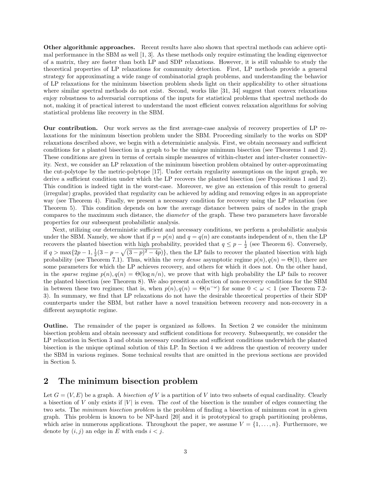Other algorithmic approaches. Recent results have also shown that spectral methods can achieve optimal performance in the SBM as well [1, 3]. As these methods only require estimating the leading eigenvector of a matrix, they are faster than both LP and SDP relaxations. However, it is still valuable to study the theoretical properties of LP relaxations for community detection. First, LP methods provide a general strategy for approximating a wide range of combinatorial graph problems, and understanding the behavior of LP relaxations for the minimum bisection problem sheds light on their applicability to other situations where similar spectral methods do not exist. Second, works like [31, 34] suggest that convex relaxations enjoy robustness to adversarial corruptions of the inputs for statistical problems that spectral methods do not, making it of practical interest to understand the most efficient convex relaxation algorithms for solving statistical problems like recovery in the SBM.

Our contribution. Our work serves as the first average-case analysis of recovery properties of LP relaxations for the minimum bisection problem under the SBM. Proceeding similarly to the works on SDP relaxations described above, we begin with a deterministic analysis. First, we obtain necessary and sufficient conditions for a planted bisection in a graph to be the unique minimum bisection (see Theorems 1 and 2). These conditions are given in terms of certain simple measures of within-cluster and inter-cluster connectivity. Next, we consider an LP relaxation of the minimum bisection problem obtained by outer-approximating the cut-polytope by the metric-polytope [17]. Under certain regularity assumptions on the input graph, we derive a sufficient condition under which the LP recovers the planted bisection (see Propositions 1 and 2). This condition is indeed tight in the worst-case. Moreover, we give an extension of this result to general (irregular) graphs, provided that regularity can be achieved by adding and removing edges in an appropriate way (see Theorem 4). Finally, we present a necessary condition for recovery using the LP relaxation (see Theorem 5). This condition depends on how the average distance between pairs of nodes in the graph compares to the maximum such distance, the diameter of the graph. These two parameters have favorable properties for our subsequent probabilistic analysis.

Next, utilizing our deterministic sufficient and necessary conditions, we perform a probabilistic analysis under the SBM. Namely, we show that if  $p = p(n)$  and  $q = q(n)$  are constants independent of n, then the LP recovers the planted bisection with high probability, provided that  $q \leq p - \frac{1}{2}$  (see Theorem 6). Conversely, if  $q > \max\{2p-1, \frac{1}{2}(3-p-\sqrt{(3-p)^2-4p})\}\$ , then the LP fails to recover the planted bisection with high probability (see Theorem 7.1). Thus, within the very dense asymptotic regime  $p(n)$ ,  $q(n) = \Theta(1)$ , there are some parameters for which the LP achieves recovery, and others for which it does not. On the other hand, in the sparse regime  $p(n)$ ,  $q(n) = \Theta(\log n/n)$ , we prove that with high probability the LP fails to recover the planted bisection (see Theorem 8). We also present a collection of non-recovery conditions for the SBM in between these two regimes; that is, when  $p(n), q(n) = \Theta(n^{-\omega})$  for some  $0 < \omega < 1$  (see Theorem 7.2-3). In summary, we find that LP relaxations do not have the desirable theoretical properties of their SDP counterparts under the SBM, but rather have a novel transition between recovery and non-recovery in a different asymptotic regime.

Outline. The remainder of the paper is organized as follows. In Section 2 we consider the minimum bisection problem and obtain necessary and sufficient conditions for recovery. Subsequently, we consider the LP relaxation in Section 3 and obtain necessary conditions and sufficient conditions underwhich the planted bisection is the unique optimal solution of this LP. In Section 4 we address the question of recovery under the SBM in various regimes. Some technical results that are omitted in the previous sections are provided in Section 5.

## 2 The minimum bisection problem

Let  $G = (V, E)$  be a graph. A bisection of V is a partition of V into two subsets of equal cardinality. Clearly a bisection of V only exists if  $|V|$  is even. The *cost* of the bisection is the number of edges connecting the two sets. The *minimum bisection problem* is the problem of finding a bisection of minimum cost in a given graph. This problem is known to be NP-hard [20] and it is prototypical to graph partitioning problems, which arise in numerous applications. Throughout the paper, we assume  $V = \{1, \ldots, n\}$ . Furthermore, we denote by  $(i, j)$  an edge in E with ends  $i < j$ .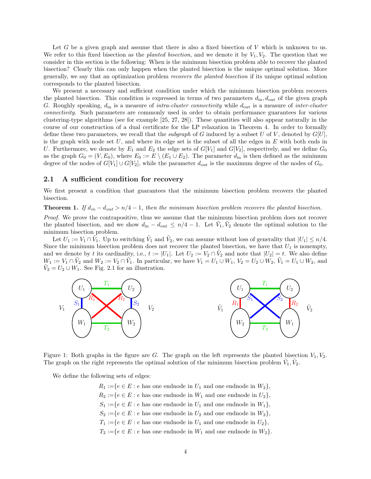Let G be a given graph and assume that there is also a fixed bisection of  $V$  which is unknown to us. We refer to this fixed bisection as the planted bisection, and we denote it by  $V_1, V_2$ . The question that we consider in this section is the following: When is the minimum bisection problem able to recover the planted bisection? Clearly this can only happen when the planted bisection is the unique optimal solution. More generally, we say that an optimization problem recovers the planted bisection if its unique optimal solution corresponds to the planted bisection.

We present a necessary and sufficient condition under which the minimum bisection problem recovers the planted bisection. This condition is expressed in terms of two parameters  $d_{\text{in}}$ ,  $d_{\text{out}}$  of the given graph G. Roughly speaking,  $d_{\rm in}$  is a measure of *intra-cluster connectivity* while  $d_{\rm out}$  is a measure of *inter-cluster* connectivity. Such parameters are commonly used in order to obtain performance guarantees for various clustering-type algorithms (see for example [25, 27, 28]). These quantities will also appear naturally in the course of our construction of a dual certificate for the LP relaxation in Theorem 4. In order to formally define these two parameters, we recall that the *subgraph* of G induced by a subset U of V, denoted by  $G[U]$ , is the graph with node set  $U$ , and where its edge set is the subset of all the edges in  $E$  with both ends in U. Furthermore, we denote by  $E_1$  and  $E_2$  the edge sets of  $G[V_1]$  and  $G[V_2]$ , respectively, and we define  $G_0$ as the graph  $G_0 = (V, E_0)$ , where  $E_0 := E \setminus (E_1 \cup E_2)$ . The parameter  $d_{\text{in}}$  is then defined as the minimum degree of the nodes of  $G[V_1] \cup G[V_2]$ , while the parameter  $d_{\text{out}}$  is the maximum degree of the nodes of  $G_0$ .

#### 2.1 A sufficient condition for recovery

We first present a condition that guarantees that the minimum bisection problem recovers the planted bisection.

### **Theorem 1.** If  $d_{in} - d_{out} > n/4 - 1$ , then the minimum bisection problem recovers the planted bisection.

Proof. We prove the contrapositive, thus we assume that the minimum bisection problem does not recover the planted bisection, and we show  $d_{\text{in}} - d_{\text{out}} \leq n/4 - 1$ . Let  $\tilde{V}_1, \tilde{V}_2$  denote the optimal solution to the minimum bisection problem.

Let  $U_1 := V_1 \cap \tilde{V}_1$ . Up to switching  $\tilde{V}_1$  and  $\tilde{V}_2$ , we can assume without loss of generality that  $|U_1| \le n/4$ . Since the minimum bisection problem does not recover the planted bisection, we have that  $U_1$  is nonempty, and we denote by t its cardinality, i.e.,  $t := |U_1|$ . Let  $U_2 := V_2 \cap V_2$  and note that  $|U_2| = t$ . We also define  $W_1 := V_1 \cap \tilde{V}_2$  and  $W_2 := V_2 \cap \tilde{V}_1$ . In particular, we have  $V_1 = U_1 \cup W_1$ ,  $V_2 = U_2 \cup W_2$ ,  $\tilde{V}_1 = U_1 \cup W_2$ , and  $\tilde{V}_2 = U_2 \cup W_1$ . See Fig. 2.1 for an illustration.



Figure 1: Both graphs in the figure are G. The graph on the left represents the planted bisection  $V_1, V_2$ . The graph on the right represents the optimal solution of the minimum bisection problem  $\tilde{V}_1, \tilde{V}_2$ .

We define the following sets of edges:

 $R_1 := \{e \in E : e$  has one endnode in  $U_1$  and one endnode in  $W_2\},$  $R_2 := \{e \in E : e$  has one endnode in  $W_1$  and one endnode in  $U_2\},\$  $S_1 := \{e \in E : e \text{ has one endnode in } U_1 \text{ and one endnode in } W_1\},\$  $S_2 := \{e \in E : e \text{ has one endnode in } U_2 \text{ and one endnode in } W_2\},\$  $T_1 := \{e \in E : e$  has one endnode in  $U_1$  and one endnode in  $U_2\},\$  $T_2 := \{e \in E : e \text{ has one endnode in } W_1 \text{ and one endnode in } W_2\}.$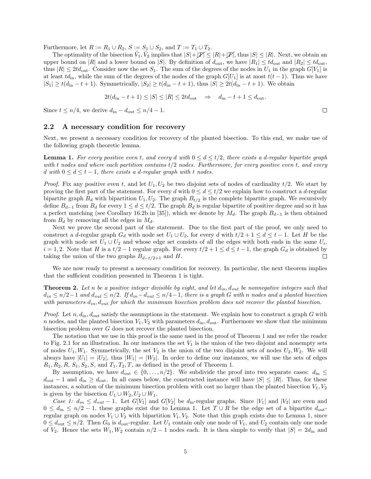Furthermore, let  $R := R_1 \cup R_2$ ,  $S := S_1 \cup S_2$ , and  $T := T_1 \cup T_2$ .

The optimality of the bisection  $\tilde{V}_1, \tilde{V}_2$  implies that  $|S| + |\mathcal{P}| \leq |R| + |\mathcal{P}|$ , thus  $|S| \leq |R|$ . Next, we obtain an upper bound on |R| and a lower bound on |S|. By definition of  $d_{\text{out}}$ , we have  $|R_1| \leq t d_{\text{out}}$  and  $|R_2| \leq t d_{\text{out}}$ , thus  $|R| \leq 2td_{\text{out}}$ . Consider now the set  $S_1$ . The sum of the degrees of the nodes in  $U_1$  in the graph  $G[V_1]$  is at least  $td_{in}$ , while the sum of the degrees of the nodes of the graph  $G[U_1]$  is at most  $t(t-1)$ . Thus we have  $|S_1| \ge t(d_{\rm in}-t+1)$ . Symmetrically,  $|S_2| \ge t(d_{\rm in}-t+1)$ , thus  $|S| \ge 2t(d_{\rm in}-t+1)$ . We obtain

$$
2t(d_{\text{in}} - t + 1) \le |S| \le |R| \le 2t d_{\text{out}} \quad \Rightarrow \quad d_{\text{in}} - t + 1 \le d_{\text{out}}.
$$

Since  $t \leq n/4$ , we derive  $d_{\text{in}} - d_{\text{out}} \leq n/4 - 1$ .

#### 2.2 A necessary condition for recovery

Next, we present a necessary condition for recovery of the planted bisection. To this end, we make use of the following graph theoretic lemma.

**Lemma 1.** For every positive even t, and every d with  $0 \le d \le t/2$ , there exists a d-regular bipartite graph with t nodes and where each partition contains  $t/2$  nodes. Furthermore, for every positive even t, and every d with  $0 \leq d \leq t-1$ , there exists a d-regular graph with t nodes.

*Proof.* Fix any positive even t, and let  $U_1, U_2$  be two disjoint sets of nodes of cardinality  $t/2$ . We start by proving the first part of the statement. For every d with  $0 \le d \le t/2$  we explain how to construct a d-regular bipartite graph  $B_d$  with bipartition  $U_1, U_2$ . The graph  $B_{t/2}$  is the complete bipartite graph. We recursively define  $B_{d-1}$  from  $B_d$  for every  $1 \leq d \leq t/2$ . The graph  $B_d$  is regular bipartite of positive degree and so it has a perfect matching (see Corollary 16.2b in [35]), which we denote by  $M_d$ . The graph  $B_{d-1}$  is then obtained from  $B_d$  by removing all the edges in  $M_d$ .

Next we prove the second part of the statement. Due to the first part of the proof, we only need to construct a d-regular graph  $G_d$  with node set  $U_1 \cup U_2$ , for every d with  $t/2 + 1 \leq d \leq t - 1$ . Let H be the graph with node set  $U_1 \cup U_2$  and whose edge set consists of all the edges with both ends in the same  $U_i$ ,  $i = 1, 2$ . Note that H is a  $t/2 - 1$  regular graph. For every  $t/2 + 1 \le d \le t - 1$ , the graph  $G_d$  is obtained by taking the union of the two graphs  $B_{d-1/2+1}$  and H. taking the union of the two graphs  $B_{d-t/2+1}$  and H.

We are now ready to present a necessary condition for recovery. In particular, the next theorem implies that the sufficient condition presented in Theorem 1 is tight.

**Theorem 2.** Let n be a positive integer divisible by eight, and let  $d_{in}$ ,  $d_{out}$  be nonnegative integers such that  $d_{in} \le n/2-1$  and  $d_{out} \le n/2$ . If  $d_{in} - d_{out} \le n/4-1$ , there is a graph G with n nodes and a planted bisection with parameters  $d_{in}$ ,  $d_{out}$  for which the minimum bisection problem does not recover the planted bisection.

*Proof.* Let  $n, d_{\text{in}}$ ,  $d_{\text{out}}$  satisfy the assumptions in the statement. We explain how to construct a graph G with n nodes, and the planted bisection  $V_1, V_2$  with parameters  $d_{\text{in}}$ ,  $d_{\text{out}}$ . Furthermore we show that the minimum bisection problem over G does not recover the planted bisection.

The notation that we use in this proof is the same used in the proof of Theorem 1 and we refer the reader to Fig. 2.1 for an illustration. In our instances the set  $V_1$  is the union of the two disjoint and nonempty sets of nodes  $U_1, W_1$ . Symmetrically, the set  $V_2$  is the union of the two disjoint sets of nodes  $U_2, W_2$ . We will always have  $|U_1| = |U_2|$ , thus  $|W_1| = |W_2|$ . In order to define our instances, we will use the sets of edges  $R_1, R_2, R, S_1, S_2, S, \text{ and } T_1, T_2, T, \text{ as defined in the proof of Theorem 1.}$ 

By assumption, we have  $d_{\text{out}} \in \{0, \ldots, n/2\}$ . We subdivide the proof into two separate cases:  $d_{\text{in}} \leq$  $d_{\text{out}} - 1$  and  $d_{\text{in}} \geq d_{\text{out}}$ . In all cases below, the constructed instance will have  $|S| \leq |R|$ . Thus, for these instances, a solution of the minimum bisection problem with cost no larger than the planted bisection  $V_1, V_2$ is given by the bisection  $U_1 \cup W_2, U_2 \cup W_1$ .

Case 1:  $d_{in} \leq d_{out} - 1$ . Let  $G[V_1]$  and  $G[V_2]$  be  $d_{in}$ -regular graphs. Since  $|V_1|$  and  $|V_2|$  are even and  $0 \leq d_{\text{in}} \leq n/2 - 1$ , these graphs exist due to Lemma 1. Let  $T \cup R$  be the edge set of a bipartite  $d_{\text{out}}$ regular graph on nodes  $V_1 \cup V_2$  with bipartition  $V_1, V_2$ . Note that this graph exists due to Lemma 1, since  $0 \leq d_{\text{out}} \leq n/2$ . Then  $G_0$  is  $d_{\text{out}}$ -regular. Let  $U_1$  contain only one node of  $V_1$ , and  $U_2$  contain only one node of  $V_2$ . Hence the sets  $W_1, W_2$  contain  $n/2 - 1$  nodes each. It is then simple to verify that  $|S| = 2d_{\text{in}}$  and

 $\Box$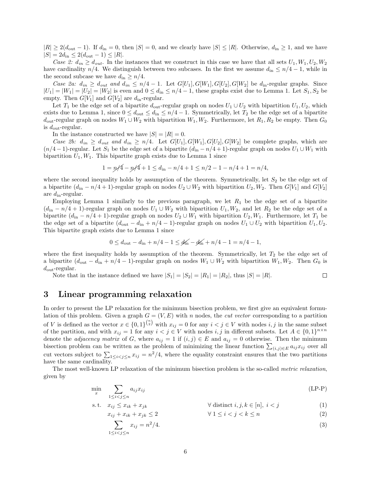$|R| \geq 2(d_{\text{out}} - 1)$ . If  $d_{\text{in}} = 0$ , then  $|S| = 0$ , and we clearly have  $|S| \leq |R|$ . Otherwise,  $d_{\text{in}} \geq 1$ , and we have  $|S| = 2d_{\text{in}} \leq 2(d_{\text{out}} - 1) \leq |R|.$ 

Case 2:  $d_{in} \geq d_{out}$ . In the instances that we construct in this case we have that all sets  $U_1, W_1, U_2, W_2$ have cardinality  $n/4$ . We distinguish between two subcases. In the first we assume  $d_{\text{in}} \leq n/4 - 1$ , while in the second subcase we have  $d_{\text{in}} \geq n/4$ .

Case 2a:  $d_{in} \geq d_{out}$  and  $d_{in} \leq n/4 - 1$ . Let  $G[U_1], G[W_1], G[U_2], G[W_2]$  be  $d_{in}$ -regular graphs. Since  $|U_1| = |W_1| = |U_2| = |W_2|$  is even and  $0 \le d_{\text{in}} \le n/4 - 1$ , these graphs exist due to Lemma 1. Let  $S_1, S_2$  be empty. Then  $G[V_1]$  and  $G[V_2]$  are  $d_{\text{in}}$ -regular.

Let  $T_1$  be the edge set of a bipartite  $d_{\text{out}}$ -regular graph on nodes  $U_1 \cup U_2$  with bipartition  $U_1, U_2$ , which exists due to Lemma 1, since  $0 \le d_{\text{out}} \le d_{\text{in}} \le n/4 - 1$ . Symmetrically, let  $T_2$  be the edge set of a bipartite  $d_{\text{out}}$ -regular graph on nodes  $W_1 \cup W_2$  with bipartition  $W_1, W_2$ . Furthermore, let  $R_1, R_2$  be empty. Then  $G_0$ is  $d_{\text{out}}$ -regular.

In the instance constructed we have  $|S| = |R| = 0$ .

Case 2b:  $d_{in} \geq d_{out}$  and  $d_{in} \geq n/4$ . Let  $G[U_1], G[W_1], G[U_2], G[W_2]$  be complete graphs, which are  $(n/4-1)$ -regular. Let  $S_1$  be the edge set of a bipartite  $(d_{in} - n/4+1)$ -regular graph on nodes  $U_1 \cup W_1$  with bipartition  $U_1, W_1$ . This bipartite graph exists due to Lemma 1 since

$$
1 = \frac{n}{4} - \frac{n}{4} + 1 \le d_{\text{in}} - \frac{n}{4} + 1 \le \frac{n}{2} - 1 - \frac{n}{4} + 1 = \frac{n}{4},
$$

where the second inequality holds by assumption of the theorem. Symmetrically, let  $S_2$  be the edge set of a bipartite  $(d_{\text{in}} - n/4 + 1)$ -regular graph on nodes  $U_2 \cup W_2$  with bipartition  $U_2, W_2$ . Then  $G[V_1]$  and  $G[V_2]$ are  $d_{\rm in}$ -regular.

Employing Lemma 1 similarly to the previous paragraph, we let  $R_1$  be the edge set of a bipartite  $(d_{\text{in}} - n/4 + 1)$ -regular graph on nodes  $U_1 \cup W_2$  with bipartition  $U_1, W_2$ , and let  $R_2$  be the edge set of a bipartite  $(d_{\text{in}} - n/4 + 1)$ -regular graph on nodes  $U_2 \cup W_1$  with bipartition  $U_2, W_1$ . Furthermore, let  $T_1$  be the edge set of a bipartite  $(d_{\text{out}} - d_{\text{in}} + n/4 - 1)$ -regular graph on nodes  $U_1 \cup U_2$  with bipartition  $U_1, U_2$ . This bipartite graph exists due to Lemma 1 since

$$
0 \le d_{\text{out}} - d_{\text{in}} + n/4 - 1 \le d_{\text{in}} - d_{\text{in}}' + n/4 - 1 = n/4 - 1,
$$

where the first inequality holds by assumption of the theorem. Symmetrically, let  $T_2$  be the edge set of a bipartite  $(d_{\text{out}} - d_{\text{in}} + n/4 - 1)$ -regular graph on nodes  $W_1 \cup W_2$  with bipartition  $W_1, W_2$ . Then  $G_0$  is  $d_{\text{out}}$ -regular.

Note that in the instance defined we have  $|S_1| = |S_2| = |R_1| = |R_2|$ , thus  $|S| = |R|$ .  $\Box$ 

## 3 Linear programming relaxation

In order to present the LP relaxation for the minimum bisection problem, we first give an equivalent formulation of this problem. Given a graph  $G = (V, E)$  with n nodes, the *cut vector* corresponding to a partition of V is defined as the vector  $x \in \{0,1\}^{\binom{n}{2}}$  with  $x_{ij} = 0$  for any  $i < j \in V$  with nodes  $i, j$  in the same subset of the partition, and with  $x_{ij} = 1$  for any  $i < j \in V$  with nodes  $i, j$  in different subsets. Let  $A \in \{0,1\}^{n \times n}$ denote the *adjacency matrix* of G, where  $a_{ij} = 1$  if  $(i, j) \in E$  and  $a_{ij} = 0$  otherwise. Then the minimum bisection problem can be written as the problem of minimizing the linear function  $\sum_{(i,j)\in E} a_{ij}x_{ij}$  over all cut vectors subject to  $\sum_{1 \leq i < j \leq n} x_{ij} = n^2/4$ , where the equality constraint ensures that the two partitions have the same cardinality.

The most well-known LP relaxation of the minimum bisection problem is the so-called metric relaxation, given by

$$
\min_{x} \sum_{1 \le i < j \le n} a_{ij} x_{ij} \tag{LP-P}
$$

$$
\text{s.t.} \quad x_{ij} \le x_{ik} + x_{jk} \qquad \qquad \forall \text{ distinct } i, j, k \in [n], \ i < j \tag{1}
$$

$$
x_{ij} + x_{ik} + x_{jk} \le 2 \qquad \qquad \forall \ 1 \le i < j < k \le n \tag{2}
$$

$$
\sum_{1 \le i < j \le n} x_{ij} = n^2/4. \tag{3}
$$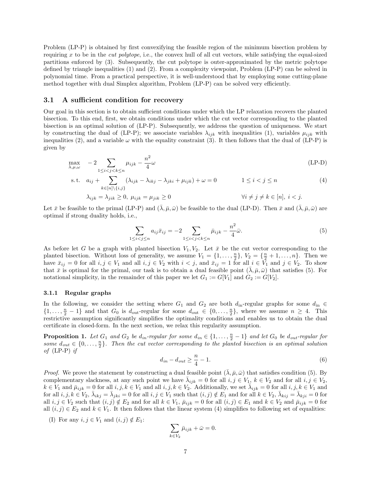Problem (LP-P) is obtained by first convexifying the feasible region of the minimum bisection problem by requiring  $x$  to be in the *cut polytope*, i.e., the convex hull of all cut vectors, while satisfying the equal-sized partitions enforced by (3). Subsequently, the cut polytope is outer-approximated by the metric polytope defined by triangle inequalities (1) and (2). From a complexity viewpoint, Problem (LP-P) can be solved in polynomial time. From a practical perspective, it is well-understood that by employing some cutting-plane method together with dual Simplex algorithm, Problem (LP-P) can be solved very efficiently.

#### 3.1 A sufficient condition for recovery

Our goal in this section is to obtain sufficient conditions under which the LP relaxation recovers the planted bisection. To this end, first, we obtain conditions under which the cut vector corresponding to the planted bisection is an optimal solution of (LP-P). Subsequently, we address the question of uniqueness. We start by constructing the dual of (LP-P); we associate variables  $\lambda_{ijk}$  with inequalities (1), variables  $\mu_{ijk}$  with inequalities (2), and a variable  $\omega$  with the equality constraint (3). It then follows that the dual of (LP-P) is given by

$$
\max_{\lambda,\mu,\omega} \quad -2 \sum_{1 \le i < j < k \le n} \mu_{ijk} - \frac{n^2}{4} \omega \tag{LP-D}
$$

s.t. 
$$
a_{ij} + \sum_{k \in [n] \setminus \{i,j\}} (\lambda_{ijk} - \lambda_{ikj} - \lambda_{jki} + \mu_{ijk}) + \omega = 0 \qquad 1 \le i < j \le n
$$
 (4)

$$
\lambda_{ijk} = \lambda_{jik} \ge 0, \ \mu_{ijk} = \mu_{jik} \ge 0
$$
\n
$$
\forall i \ne j \ne k \in [n], \ i < j.
$$

Let  $\bar{x}$  be feasible to the primal (LP-P) and  $(\bar{\lambda}, \bar{\mu}, \bar{\omega})$  be feasible to the dual (LP-D). Then  $\bar{x}$  and  $(\bar{\lambda}, \bar{\mu}, \bar{\omega})$  are optimal if strong duality holds, i.e.,

$$
\sum_{1 \le i < j \le n} a_{ij} \bar{x}_{ij} = -2 \sum_{1 \le i < j < k \le n} \bar{\mu}_{ijk} - \frac{n^2}{4} \bar{\omega}.\tag{5}
$$

As before let G be a graph with planted bisection  $V_1, V_2$ . Let  $\bar{x}$  be the cut vector corresponding to the planted bisection. Without loss of generality, we assume  $V_1 = \{1, \ldots, \frac{n}{2}\}, V_2 = \{\frac{n}{2} + 1, \ldots, n\}.$  Then we have  $\bar{x}_{ij} = 0$  for all  $i, j \in V_1$  and all  $i, j \in V_2$  with  $i < j$ , and  $\bar{x}_{ij} = 1$  for all  $i \in V_1$  and  $j \in V_2$ . To show that  $\bar{x}$  is optimal for the primal, our task is to obtain a dual feasible point  $(\bar{\lambda}, \bar{\mu}, \bar{\omega})$  that satisfies (5). For notational simplicity, in the remainder of this paper we let  $G_1 := G[V_1]$  and  $G_2 := G[V_2]$ .

#### 3.1.1 Regular graphs

In the following, we consider the setting where  $G_1$  and  $G_2$  are both  $d_{\text{in}}$ -regular graphs for some  $d_{\text{in}} \in$  $\{1,\ldots,\frac{n}{2}-1\}$  and that  $G_0$  is  $d_{\text{out}}$ -regular for some  $d_{\text{out}} \in \{0,\ldots,\frac{n}{2}\}$ , where we assume  $n \geq 4$ . This restrictive assumption significantly simplifies the optimality conditions and enables us to obtain the dual certificate in closed-form. In the next section, we relax this regularity assumption.

**Proposition 1.** Let  $G_1$  and  $G_2$  be  $d_{in}$ -regular for some  $d_{in} \in \{1, \ldots, \frac{n}{2} - 1\}$  and let  $G_0$  be  $d_{out}$ -regular for some  $d_{out} \in \{0, \ldots, \frac{n}{2}\}.$  Then the cut vector corresponding to the planted bisection is an optimal solution of  $(LP-P)$  if

$$
d_{in} - d_{out} \ge \frac{n}{4} - 1. \tag{6}
$$

*Proof.* We prove the statement by constructing a dual feasible point  $(\overline{\lambda}, \overline{\mu}, \overline{\omega})$  that satisfies condition (5). By complementary slackness, at any such point we have  $\bar{\lambda}_{ijk} = 0$  for all  $i, j \in V_1$ ,  $k \in V_2$  and for all  $i, j \in V_2$ ,  $k \in V_1$  and  $\bar{\mu}_{ijk} = 0$  for all  $i, j, k \in V_1$  and all  $i, j, k \in V_2$ . Additionally, we set  $\bar{\lambda}_{ijk} = 0$  for all  $i, j, k \in V_1$  and for all  $i, j, k \in V_2$ ,  $\bar{\lambda}_{ikj} = \bar{\lambda}_{jki} = 0$  for all  $i, j \in V_1$  such that  $(i, j) \notin E_1$  and for all  $k \in V_2$ ,  $\bar{\lambda}_{kij} = \bar{\lambda}_{kji} = 0$  for all  $i, j \in V_2$  such that  $(i, j) \notin E_2$  and for all  $k \in V_1$ ,  $\bar{\mu}_{ijk} = 0$  for all  $(i, j) \in E_1$  and  $k \in V_2$  and  $\bar{\mu}_{ijk} = 0$  for all  $(i, j) \in E_2$  and  $k \in V_1$ . It then follows that the linear system (4) simplifies to following set of equalities:

(I) For any  $i, j \in V_1$  and  $(i, j) \notin E_1$ :

$$
\sum_{k \in V_2} \bar{\mu}_{ijk} + \bar{\omega} = 0.
$$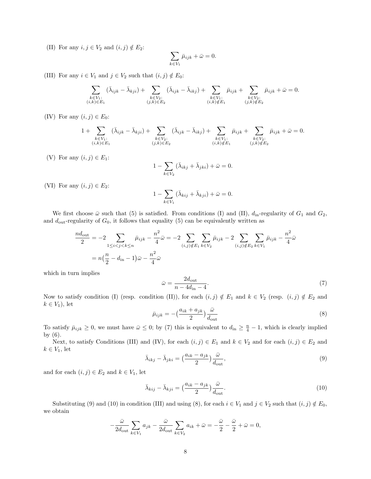(II) For any  $i, j \in V_2$  and  $(i, j) \notin E_2$ :

$$
\sum_{k \in V_1} \bar{\mu}_{ijk} + \bar{\omega} = 0.
$$

(III) For any  $i \in V_1$  and  $j \in V_2$  such that  $(i, j) \notin E_0$ :

$$
\sum_{\substack{k \in V_1:\\(i,k) \in E_1}} (\bar{\lambda}_{ijk} - \bar{\lambda}_{kji}) + \sum_{\substack{k \in V_2:\\(j,k) \in E_2}} (\bar{\lambda}_{ijk} - \bar{\lambda}_{ikj}) + \sum_{\substack{k \in V_1:\\(i,k) \notin E_1}} \bar{\mu}_{ijk} + \sum_{\substack{k \in V_2:\\(j,k) \notin E_2}} \bar{\mu}_{ijk} + \bar{\omega} = 0.
$$

(IV) For any  $(i, j) \in E_0$ :

$$
1 + \sum_{\substack{k \in V_1:\\(i,k) \in E_1}} (\bar{\lambda}_{ijk} - \bar{\lambda}_{kji}) + \sum_{\substack{k \in V_2:\\(j,k) \in E_2}} (\bar{\lambda}_{ijk} - \bar{\lambda}_{ikj}) + \sum_{\substack{k \in V_1:\\(i,k) \notin E_1}} \bar{\mu}_{ijk} + \sum_{\substack{k \in V_2:\\(j,k) \notin E_2}} \bar{\mu}_{ijk} + \bar{\omega} = 0.
$$

(V) For any  $(i, j) \in E_1$ :

$$
1 - \sum_{k \in V_2} (\bar{\lambda}_{ikj} + \bar{\lambda}_{jki}) + \bar{\omega} = 0.
$$

(VI) For any  $(i, j) \in E_2$ :

$$
1 - \sum_{k \in V_1} (\bar{\lambda}_{kij} + \bar{\lambda}_{kji}) + \bar{\omega} = 0.
$$

We first choose  $\bar{\omega}$  such that (5) is satisfied. From conditions (I) and (II),  $d_{\rm in}$ -regularity of  $G_1$  and  $G_2$ , and  $d_{\text{out}}$ -regularity of  $G_0$ , it follows that equality (5) can be equivalently written as

$$
\frac{nd_{\text{out}}}{2} = -2 \sum_{1 \le i < j < k \le n} \bar{\mu}_{ijk} - \frac{n^2}{4} \bar{\omega} = -2 \sum_{(i,j) \notin E_1} \sum_{k \in V_2} \bar{\mu}_{ijk} - 2 \sum_{(i,j) \notin E_2} \sum_{k \in V_1} \bar{\mu}_{ijk} - \frac{n^2}{4} \bar{\omega}
$$
\n
$$
= n\left(\frac{n}{2} - d_{\text{in}} - 1\right)\bar{\omega} - \frac{n^2}{4} \bar{\omega}
$$

which in turn implies

$$
\bar{\omega} = \frac{2d_{\text{out}}}{n - 4d_{\text{in}} - 4}.\tag{7}
$$

Now to satisfy condition (I) (resp. condition (II)), for each  $(i, j) \notin E_1$  and  $k \in V_2$  (resp.  $(i, j) \notin E_2$  and  $k \in V_1$ , let

$$
\bar{\mu}_{ijk} = -\left(\frac{a_{ik} + a_{jk}}{2}\right) \frac{\bar{\omega}}{d_{\text{out}}}
$$
\n(8)

To satisfy  $\bar{\mu}_{ijk} \geq 0$ , we must have  $\bar{\omega} \leq 0$ ; by (7) this is equivalent to  $d_{in} \geq \frac{n}{4} - 1$ , which is clearly implied by (6).

Next, to satisfy Conditions (III) and (IV), for each  $(i, j) \in E_1$  and  $k \in V_2$  and for each  $(i, j) \in E_2$  and  $k \in V_1$ , let

$$
\bar{\lambda}_{ikj} - \bar{\lambda}_{jki} = \left(\frac{a_{ik} - a_{jk}}{2}\right) \frac{\bar{\omega}}{d_{\text{out}}},\tag{9}
$$

and for each  $(i, j) \in E_2$  and  $k \in V_1$ , let

$$
\bar{\lambda}_{kij} - \bar{\lambda}_{kji} = \left(\frac{a_{ik} - a_{jk}}{2}\right) \frac{\bar{\omega}}{d_{\text{out}}}.
$$
\n(10)

Substituting (9) and (10) in condition (III) and using (8), for each  $i \in V_1$  and  $j \in V_2$  such that  $(i, j) \notin E_0$ , we obtain

$$
-\frac{\bar{\omega}}{2d_{\text{out}}}\sum_{k\in V_1}a_{jk}-\frac{\bar{\omega}}{2d_{\text{out}}}\sum_{k\in V_2}a_{ik}+\bar{\omega}=-\frac{\bar{\omega}}{2}-\frac{\bar{\omega}}{2}+\bar{\omega}=0,
$$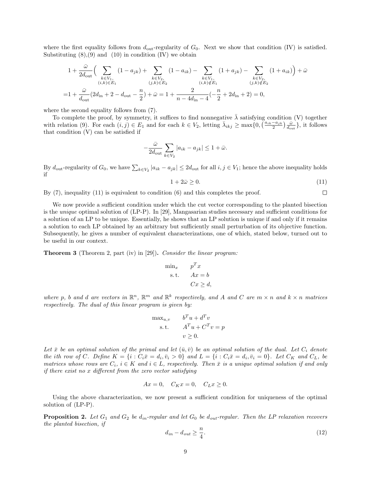where the first equality follows from  $d_{\text{out}}$ -regularity of  $G_0$ . Next we show that condition (IV) is satisfied. Substituting  $(8)$ ,  $(9)$  and  $(10)$  in condition  $(IV)$  we obtain

$$
1 + \frac{\bar{\omega}}{2d_{\text{out}}} \Big( \sum_{\substack{k \in V_1, \\ (i,k) \in E_1}} (1 - a_{jk}) + \sum_{\substack{k \in V_2, \\ (j,k) \in E_2}} (1 - a_{ik}) - \sum_{\substack{k \in V_1, \\ (i,k) \notin E_1}} (1 + a_{jk}) - \sum_{\substack{k \in V_2, \\ (j,k) \notin E_2}} (1 + a_{ik}) \Big) + \bar{\omega}
$$
  
= 
$$
1 + \frac{\bar{\omega}}{d_{\text{out}}} (2d_{\text{in}} + 2 - d_{\text{out}} - \frac{n}{2}) + \bar{\omega} = 1 + \frac{2}{n - 4d_{\text{in}} - 4} (-\frac{n}{2} + 2d_{\text{in}} + 2) = 0,
$$

where the second equality follows from (7).

To complete the proof, by symmetry, it suffices to find nonnegative  $\lambda$  satisfying condition (V) together with relation (9). For each  $(i, j) \in E_1$  and for each  $k \in V_2$ , letting  $\bar{\lambda}_{ikj} \ge \max\{0, \left(\frac{a_{ik}-a_{jk}}{2}\right) \frac{\bar{\omega}}{d_{\text{out}}}\}\)$ , it follows that condition (V) can be satisfied if

$$
-\frac{\bar{\omega}}{2d_{\text{out}}}\sum_{k\in V_2}|a_{ik}-a_{jk}|\leq 1+\bar{\omega}.
$$

By  $d_{\text{out}}$ -regularity of  $G_0$ , we have  $\sum_{k \in V_2} |a_{ik} - a_{jk}| \leq 2d_{\text{out}}$  for all  $i, j \in V_1$ ; hence the above inequality holds if

$$
1 + 2\bar{\omega} \ge 0. \tag{11}
$$

By (7), inequality (11) is equivalent to condition (6) and this completes the proof.  $\Box$ 

We now provide a sufficient condition under which the cut vector corresponding to the planted bisection is the unique optimal solution of (LP-P). In [29], Mangasarian studies necessary and sufficient conditions for a solution of an LP to be unique. Essentially, he shows that an LP solution is unique if and only if it remains a solution to each LP obtained by an arbitrary but sufficiently small perturbation of its objective function. Subsequently, he gives a number of equivalent characterizations, one of which, stated below, turned out to be useful in our context.

Theorem 3 (Theorem 2, part (iv) in [29]). Consider the linear program:

$$
\begin{aligned}\n\min_x & p^T x \\
\text{s.t.} & Ax = b \\
& Cx \ge d,\n\end{aligned}
$$

where p, b and d are vectors in  $\mathbb{R}^n$ ,  $\mathbb{R}^m$  and  $\mathbb{R}^k$  respectively, and A and C are  $m \times n$  and  $k \times n$  matrices respectively. The dual of this linear program is given by:

$$
\begin{aligned}\n\max_{u,v} & b^T u + d^T v \\
\text{s.t.} & A^T u + C^T v = p \\
& v \ge 0.\n\end{aligned}
$$

Let  $\bar{x}$  be an optimal solution of the primal and let  $(\bar{u}, \bar{v})$  be an optimal solution of the dual. Let  $C_i$  denote the ith row of C. Define  $K = \{i : C_i \bar{x} = d_i, \bar{v}_i > 0\}$  and  $L = \{i : C_i \bar{x} = d_i, \bar{v}_i = 0\}$ . Let  $C_K$  and  $C_L$ , be matrices whose rows are  $C_i$ ,  $i \in K$  and  $i \in L$ , respectively. Then  $\bar{x}$  is a unique optimal solution if and only if there exist no x different from the zero vector satisfying

$$
Ax = 0, \quad C_K x = 0, \quad C_L x \ge 0.
$$

Using the above characterization, we now present a sufficient condition for uniqueness of the optimal solution of (LP-P).

**Proposition 2.** Let  $G_1$  and  $G_2$  be  $d_{in}$ -regular and let  $G_0$  be  $d_{out}$ -regular. Then the LP relaxation recovers the planted bisection, if

$$
d_{in} - d_{out} \ge \frac{n}{4}.\tag{12}
$$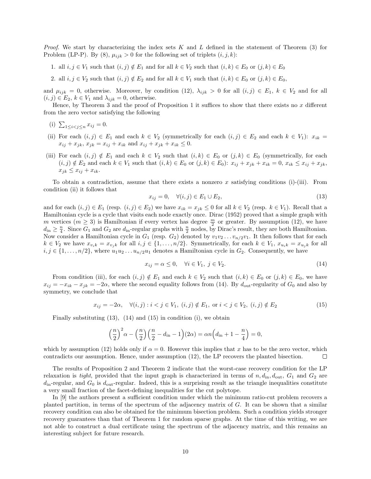*Proof.* We start by characterizing the index sets K and L defined in the statement of Theorem  $(3)$  for Problem (LP-P). By (8),  $\mu_{ijk} > 0$  for the following set of triplets  $(i, j, k)$ :

1. all  $i, j \in V_1$  such that  $(i, j) \notin E_1$  and for all  $k \in V_2$  such that  $(i, k) \in E_0$  or  $(j, k) \in E_0$ 

2. all  $i, j \in V_2$  such that  $(i, j) \notin E_2$  and for all  $k \in V_1$  such that  $(i, k) \in E_0$  or  $(j, k) \in E_0$ ,

and  $\mu_{ijk} = 0$ , otherwise. Moreover, by condition (12),  $\lambda_{ijk} > 0$  for all  $(i, j) \in E_1$ ,  $k \in V_2$  and for all  $(i, j) \in E_2$ ,  $k \in V_1$  and  $\lambda_{ijk} = 0$ , otherwise.

Hence, by Theorem 3 and the proof of Proposition 1 it suffices to show that there exists no  $x$  different from the zero vector satisfying the following

- (i)  $\sum_{1 \leq i < j \leq n} x_{ij} = 0.$
- (ii) For each  $(i, j) \in E_1$  and each  $k \in V_2$  (symmetrically for each  $(i, j) \in E_2$  and each  $k \in V_1$ ):  $x_{ik} =$  $x_{ij} + x_{jk}, x_{jk} = x_{ij} + x_{ik}$  and  $x_{ij} + x_{jk} + x_{ik} \leq 0$ .
- (iii) For each  $(i, j) \notin E_1$  and each  $k \in V_2$  such that  $(i, k) \in E_0$  or  $(j, k) \in E_0$  (symmetrically, for each  $(i, j) \notin E_2$  and each  $k \in V_1$  such that  $(i, k) \in E_0$  or  $(j, k) \in E_0$ :  $x_{ij} + x_{jk} + x_{ik} = 0$ ,  $x_{ik} \le x_{ij} + x_{jk}$ ,  $x_{ik} \leq x_{ij} + x_{ik}.$

To obtain a contradiction, assume that there exists a nonzero x satisfying conditions (i)-(iii). From condition (ii) it follows that

$$
x_{ij} = 0, \quad \forall (i, j) \in E_1 \cup E_2,\tag{13}
$$

and for each  $(i, j) \in E_1$  (resp.  $(i, j) \in E_2$ ) we have  $x_{ik} = x_{jk} \leq 0$  for all  $k \in V_2$  (resp.  $k \in V_1$ ). Recall that a Hamiltonian cycle is a cycle that visits each node exactly once. Dirac (1952) proved that a simple graph with m vertices  $(m \ge 3)$  is Hamiltonian if every vertex has degree  $\frac{m}{2}$  or greater. By assumption (12), we have  $d_{\text{in}} \geq \frac{n}{4}$ . Since  $G_1$  and  $G_2$  are  $d_{\text{in}}$ -regular graphs with  $\frac{n}{2}$  nodes, by Dirac's result, they are both Hamiltonian. Now consider a Hamiltonian cycle in  $G_1$  (resp.  $G_2$ ) denoted by  $v_1v_2 \ldots v_{n/2}v_1$ . It then follows that for each  $k \in V_2$  we have  $x_{v_i k} = x_{v_j k}$  for all  $i, j \in \{1, \ldots, n/2\}$ . Symmetrically, for each  $k \in V_1$ ,  $x_{u_i k} = x_{u_j k}$  for all  $i, j \in \{1, \ldots, n/2\}$ , where  $u_1u_2 \ldots u_{n/2}u_1$  denotes a Hamiltonian cycle in  $G_2$ . Consequently, we have

$$
x_{ij} = \alpha \le 0, \quad \forall i \in V_1, \ j \in V_2. \tag{14}
$$

From condition (iii), for each  $(i, j) \notin E_1$  and each  $k \in V_2$  such that  $(i, k) \in E_0$  or  $(j, k) \in E_0$ , we have  $x_{ij} = -x_{ik} - x_{jk} = -2\alpha$ , where the second equality follows from (14). By  $d_{\text{out}}$ -regularity of  $G_0$  and also by symmetry, we conclude that

$$
x_{ij} = -2\alpha, \quad \forall (i, j) : i < j \in V_1, \ (i, j) \notin E_1, \text{ or } i < j \in V_2, \ (i, j) \notin E_2
$$
\n
$$
(15)
$$

Finally substituting  $(13)$ ,  $(14)$  and  $(15)$  in condition  $(i)$ , we obtain

$$
\left(\frac{n}{2}\right)^2 \alpha - \left(\frac{n}{2}\right)\left(\frac{n}{2} - d_{\rm in} - 1\right)(2\alpha) = \alpha n \left(d_{\rm in} + 1 - \frac{n}{4}\right) = 0,
$$

which by assumption (12) holds only if  $\alpha = 0$ . However this implies that x has to be the zero vector, which contradicts our assumption. Hence, under assumption (12), the LP recovers the planted bisection.  $\Box$ 

The results of Proposition 2 and Theorem 2 indicate that the worst-case recovery condition for the LP relaxation is tight, provided that the input graph is characterized in terms of  $n, d_{\text{in}}, d_{\text{out}}, G_1$  and  $G_2$  are  $d_{\rm in}$ -regular, and  $G_0$  is  $d_{\rm out}$ -regular. Indeed, this is a surprising result as the triangle inequalities constitute a very small fraction of the facet-defining inequalities for the cut polytope.

In [9] the authors present a sufficient condition under which the minimum ratio-cut problem recovers a planted partition, in terms of the spectrum of the adjacency matrix of  $G$ . It can be shown that a similar recovery condition can also be obtained for the minimum bisection problem. Such a condition yields stronger recovery guarantees than that of Theorem 1 for random sparse graphs. At the time of this writing, we are not able to construct a dual certificate using the spectrum of the adjacency matrix, and this remains an interesting subject for future research.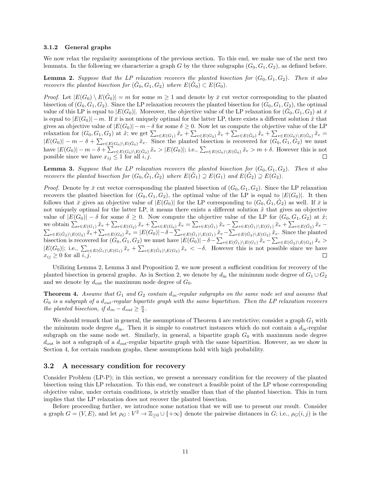#### 3.1.2 General graphs

We now relax the regularity assumptions of the previous section. To this end, we make use of the next two lemmata. In the following we characterize a graph G by the three subgraphs  $(G_0, G_1, G_2)$ , as defined before.

**Lemma 2.** Suppose that the LP relaxation recovers the planted bisection for  $(G_0, G_1, G_2)$ . Then it also recovers the planted bisection for  $(\tilde{G}_0, G_1, G_2)$  where  $E(\tilde{G}_0) \subset E(G_0)$ .

*Proof.* Let  $|E(G_0) \setminus E(\tilde{G}_0)| = m$  for some  $m \ge 1$  and denote by  $\bar{x}$  cut vector corresponding to the planted bisection of  $(G_0, G_1, G_2)$ . Since the LP relaxation recovers the planted bisection for  $(G_0, G_1, G_2)$ , the optimal value of this LP is equal to  $|E(G_0)|$ . Moreover, the objective value of the LP relaxation for  $(\tilde{G}_0, G_1, G_2)$  at  $\bar{x}$ is equal to  $|E(G_0)| - m$ . If  $\bar{x}$  is not uniquely optimal for the latter LP, there exists a different solution  $\tilde{x}$  that gives an objective value of  $|E(G_0)|-m-\delta$  for some  $\delta \geq 0$ . Now let us compute the objective value of the LP relaxation for  $(G_0, G_1, G_2)$  at  $\tilde{x}$ ; we get  $\sum_{e \in E(G_1)} \tilde{x}_e + \sum_{e \in E(G_2)} \tilde{x}_e + \sum_{e \in E(\tilde{G}_0)} \tilde{x}_e + \sum_{e \in E(G_0) \setminus E(\tilde{G}_0)} \tilde{x}_e =$  $|E(G_0)| - m - \delta + \sum_{e \in E(G_0) \setminus E(\tilde{G}_0)} \tilde{x}_e$ . Since the planted bisection is recovered for  $(G_0, G_1, G_2)$  we must have  $|E(G_0)| - m - \delta + \sum_{e \in E(G_0) \setminus E(\tilde{G}_0)} \tilde{x}_e > |E(G_0)|$ ; i.e.,  $\sum_{e \in E(G_0) \setminus E(\tilde{G}_0)} \tilde{x}_e > m + \delta$ . However this is not possible since we have  $x_{ij} \leq 1$  for all  $i, j$ .

**Lemma 3.** Suppose that the LP relaxation recovers the planted bisection for  $(G_0, G_1, G_2)$ . Then it also recovers the planted bisection for  $(G_0, \tilde{G}_1, \tilde{G}_2)$  where  $E(\tilde{G}_1) \supseteq E(G_1)$  and  $E(\tilde{G}_2) \supseteq E(G_2)$ .

*Proof.* Denote by  $\bar{x}$  cut vector corresponding the planted bisection of  $(G_0, G_1, G_2)$ . Since the LP relaxation recovers the planted bisection for  $(G_0, G_1, G_2)$ , the optimal value of the LP is equal to  $|E(G_0)|$ . It then follows that  $\bar{x}$  gives an objective value of  $|E(G_0)|$  for the LP corresponding to  $(G_0, \tilde{G}_1, \tilde{G}_2)$  as well. If  $\bar{x}$  is not uniquely optimal for the latter LP, it means there exists a different solution  $\tilde{x}$  that gives an objective value of  $|E(G_0)| - \delta$  for some  $\delta \geq 0$ . Now compute the objective value of the LP for  $(G_0, G_1, G_2)$  at  $\tilde{x}$ ; we obtain  $\sum_{e \in E(\tilde{G}_2)} \tilde{x}_e + \sum_{e \in E(G_2)} \tilde{x}_e + \sum_{e \in E(G_0)} \tilde{x}_e = \sum_{e \in E(\tilde{G}_1)} \tilde{x}_e - \sum_{e \in E(\tilde{G}_1) \setminus E(G_1)} \tilde{x}_e + \sum_{e \in E(\tilde{G}_2)} \tilde{x}_e - \sum_{e \in E(\tilde{G}_2) \setminus E(G_2)} \tilde{x}_e + \sum_{e \in E(G_2)} \tilde{x}_e - \sum_{e \in E(\tilde{G}_2) \setminus E(G_2)} \tilde{x}_e$ bisection is recovered for  $(G_0, G_1, G_2)$  we must have  $|E(G_0)| - \delta - \sum_{e \in E(\tilde{G}_1) \setminus E(G_1)} \tilde{x}_e - \sum_{e \in E(\tilde{G}_2) \setminus E(G_2)} \tilde{x}_e >$  $|E(G_0)|$ ; i.e.,  $\sum_{e \in E(\tilde{G}_1) \backslash E(G_1)} \tilde{x}_e + \sum_{e \in E(\tilde{G}_2) \backslash E(G_2)} \tilde{x}_e < -\delta$ . However this is not possible since we have  $x_{ij} \geq 0$  for all  $i, j$ .

Utilizing Lemma 2, Lemma 3 and Proposition 2, we now present a sufficient condition for recovery of the planted bisection in general graphs. As in Section 2, we denote by  $d_{in}$  the minimum node degree of  $G_1 \cup G_2$ and we denote by  $d_{\text{out}}$  the maximum node degree of  $G_0$ .

**Theorem 4.** Assume that  $G_1$  and  $G_2$  contain  $d_{in}$ -regular subgraphs on the same node set and assume that  $G_0$  is a subgraph of a  $d_{out}$ -regular bipartite graph with the same bipartition. Then the LP relaxation recovers the planted bisection, if  $d_{in} - d_{out} \geq \frac{n}{4}$ .

We should remark that in general, the assumptions of Theorem 4 are restrictive; consider a graph  $G_1$  with the minimum node degree  $d_{\rm in}$ . Then it is simple to construct instances which do not contain a  $d_{\rm in}$ -regular subgraph on the same node set. Similarly, in general, a bipartite graph  $G_0$  with maximum node degree  $d_{\text{out}}$  is not a subgraph of a  $d_{\text{out}}$ -regular bipartite graph with the same bipartition. However, as we show in Section 4, for certain random graphs, these assumptions hold with high probability.

#### 3.2 A necessary condition for recovery

Consider Problem (LP-P); in this section, we present a necessary condition for the recovery of the planted bisection using this LP relaxation. To this end, we construct a feasible point of the LP whose corresponding objective value, under certain conditions, is strictly smaller than that of the planted bisection. This in turn implies that the LP relaxation does not recover the planted bisection.

Before proceeding further, we introduce some notation that we will use to present our result. Consider a graph  $G = (V, E)$ , and let  $\rho_G : V^2 \to \mathbb{Z}_{\geq 0} \cup \{+\infty\}$  denote the pairwise distances in G; i.e.,  $\rho_G(i, j)$  is the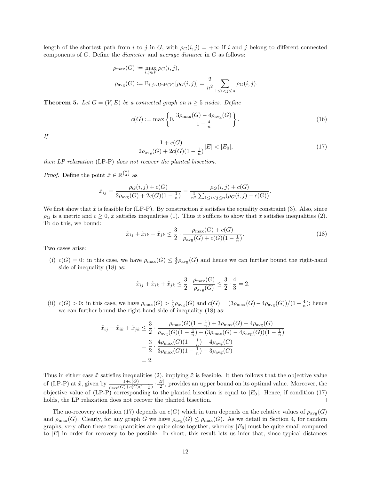length of the shortest path from i to j in G, with  $\rho_G(i,j) = +\infty$  if i and j belong to different connected components of  $G$ . Define the *diameter* and *average distance* in  $G$  as follows:

$$
\rho_{\max}(G) := \max_{i,j \in V} \rho_G(i,j),
$$
  

$$
\rho_{\text{avg}}(G) := \mathbb{E}_{i,j \sim \text{Unif}(V)}[\rho_G(i,j)] = \frac{2}{n^2} \sum_{1 \le i < j \le n} \rho_G(i,j).
$$

**Theorem 5.** Let  $G = (V, E)$  be a connected graph on  $n \geq 5$  nodes. Define

$$
c(G) := \max\left\{0, \frac{3\rho_{\max}(G) - 4\rho_{\text{avg}}(G)}{1 - \frac{4}{n}}\right\}.
$$
 (16)

If

$$
\frac{1 + c(G)}{2\rho_{\text{avg}}(G) + 2c(G)(1 - \frac{1}{n})}|E| < |E_0|,\tag{17}
$$

then LP relaxation (LP-P) does not recover the planted bisection.

*Proof.* Define the point  $\tilde{x} \in \mathbb{R}^{\binom{n}{2}}$  as

$$
\tilde{x}_{ij} = \frac{\rho_G(i,j) + c(G)}{2\rho_{\text{avg}}(G) + 2c(G)(1 - \frac{1}{n})} = \frac{\rho_G(i,j) + c(G)}{\frac{4}{n^2} \sum_{1 \le i < j \le n} (\rho_G(i,j) + c(G))}.
$$

We first show that  $\tilde{x}$  is feasible for (LP-P). By construction  $\tilde{x}$  satisfies the equality constraint (3). Also, since  $\rho_G$  is a metric and  $c \geq 0$ ,  $\tilde{x}$  satisfies inequalities (1). Thus it suffices to show that  $\tilde{x}$  satisfies inequalities (2). To do this, we bound:

$$
\tilde{x}_{ij} + \tilde{x}_{ik} + \tilde{x}_{jk} \le \frac{3}{2} \cdot \frac{\rho_{\text{max}}(G) + c(G)}{\rho_{\text{avg}}(G) + c(G)(1 - \frac{1}{n})}.
$$
\n(18)

Two cases arise:

(i)  $c(G) = 0$ : in this case, we have  $\rho_{\text{max}}(G) \leq \frac{4}{3}\rho_{\text{avg}}(G)$  and hence we can further bound the right-hand side of inequality (18) as:

$$
\tilde{x}_{ij} + \tilde{x}_{ik} + \tilde{x}_{jk} \le \frac{3}{2} \cdot \frac{\rho_{\max}(G)}{\rho_{\text{avg}}(G)} \le \frac{3}{2} \cdot \frac{4}{3} = 2.
$$

(ii)  $c(G) > 0$ : in this case, we have  $\rho_{\text{max}}(G) > \frac{4}{3}\rho_{\text{avg}}(G)$  and  $c(G) = \frac{3\rho_{\text{max}}(G) - \frac{4}{3\rho_{\text{avg}}(G)}(\frac{1}{1-\frac{4}{n}})}{c(G)}$ ; hence we can further bound the right-hand side of inequality (18) as:

$$
\tilde{x}_{ij} + \tilde{x}_{ik} + \tilde{x}_{jk} \le \frac{3}{2} \cdot \frac{\rho_{\max}(G)(1 - \frac{4}{n}) + 3\rho_{\max}(G) - 4\rho_{\text{avg}}(G)}{\rho_{\text{avg}}(G)(1 - \frac{4}{n}) + (3\rho_{\max}(G) - 4\rho_{\text{avg}}(G))(1 - \frac{1}{n})}
$$
  
= 
$$
\frac{3}{2} \cdot \frac{4\rho_{\max}(G)(1 - \frac{1}{n}) - 4\rho_{\text{avg}}(G)}{3\rho_{\max}(G)(1 - \frac{1}{n}) - 3\rho_{\text{avg}}(G)}
$$
  
= 2.

Thus in either case  $\tilde{x}$  satisfies inequalities (2), implying  $\tilde{x}$  is feasible. It then follows that the objective value of (LP-P) at  $\tilde{x}$ , given by  $\frac{1+c(G)}{\rho_{\text{avg}}(G)+c(G)(1-\frac{1}{n})}\cdot\frac{|E|}{2}$ , provides an upper bound on its optimal value. Moreover, the objective value of (LP-P) corresponding to the planted bisection is equal to  $|E_0|$ . Hence, if condition (17) holds, the LP relaxation does not recover the planted bisection. holds, the LP relaxation does not recover the planted bisection.

The no-recovery condition (17) depends on  $c(G)$  which in turn depends on the relative values of  $\rho_{\text{avg}}(G)$ and  $\rho_{\text{max}}(G)$ . Clearly, for any graph G we have  $\rho_{\text{avg}}(G) \leq \rho_{\text{max}}(G)$ . As we detail in Section 4, for random graphs, very often these two quantities are quite close together, whereby  $|E_0|$  must be quite small compared to |E| in order for recovery to be possible. In short, this result lets us infer that, since typical distances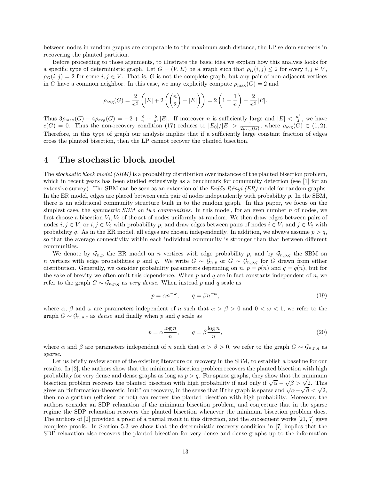between nodes in random graphs are comparable to the maximum such distance, the LP seldom succeeds in recovering the planted partition.

Before proceeding to those arguments, to illustrate the basic idea we explain how this analysis looks for a specific type of deterministic graph. Let  $G = (V, E)$  be a graph such that  $\rho_G(i,j) \leq 2$  for every  $i, j \in V$ ,  $\rho_G(i,j) = 2$  for some  $i, j \in V$ . That is, G is not the complete graph, but any pair of non-adjacent vertices in G have a common neighbor. In this case, we may explicitly compute  $\rho_{\text{max}}(G) = 2$  and

$$
\rho_{\text{avg}}(G) = \frac{2}{n^2} \left( |E| + 2 \left( {n \choose 2} - |E| \right) \right) = 2 \left( 1 - \frac{1}{n} \right) - \frac{2}{n^2} |E|.
$$

Thus  $3\rho_{\max}(G) - 4\rho_{\text{avg}}(G) = -2 + \frac{8}{n} + \frac{8}{n^2}|E|$ . If moreover *n* is sufficiently large and  $|E| < \frac{n^2}{4}$  $\frac{i^2}{4}$ , we have  $c(G) = 0$ . Thus the non-recovery condition (17) reduces to  $|E_0|/|E| > \frac{1}{2\rho_{\text{avg}}(G)}$ , where  $\rho_{\text{avg}}(G) \in (1, 2)$ . Therefore, in this type of graph our analysis implies that if a sufficiently large constant fraction of edges cross the planted bisection, then the LP cannot recover the planted bisection.

## 4 The stochastic block model

The *stochastic block model (SBM)* is a probability distribution over instances of the planted bisection problem, which in recent years has been studied extensively as a benchmark for community detection (see [1] for an extensive survey). The SBM can be seen as an extension of the  $Erd\ddot{o}s-R\acute{e}nyi$  (ER) model for random graphs. In the ER model, edges are placed between each pair of nodes independently with probability p. In the SBM, there is an additional community structure built in to the random graph. In this paper, we focus on the simplest case, the *symmetric SBM on two communities*. In this model, for an even number  $n$  of nodes, we first choose a bisection  $V_1, V_2$  of the set of nodes uniformly at random. We then draw edges between pairs of nodes  $i, j \in V_1$  or  $i, j \in V_2$  with probability p, and draw edges between pairs of nodes  $i \in V_1$  and  $j \in V_2$  with probability q. As in the ER model, all edges are chosen independently. In addition, we always assume  $p > q$ , so that the average connectivity within each individual community is stronger than that between different communities.

We denote by  $\mathcal{G}_{n,p}$  the ER model on n vertices with edge probability p, and by  $\mathcal{G}_{n,p,q}$  the SBM on n vertices with edge probabilities p and q. We write  $G \sim \mathcal{G}_{n,p}$  or  $G \sim \mathcal{G}_{n,p,q}$  for G drawn from either distribution. Generally, we consider probability parameters depending on n,  $p = p(n)$  and  $q = q(n)$ , but for the sake of brevity we often omit this dependence. When  $p$  and  $q$  are in fact constants independent of  $n$ , we refer to the graph  $G \sim \mathcal{G}_{n,p,q}$  as very dense. When instead p and q scale as

$$
p = \alpha n^{-\omega}, \qquad q = \beta n^{-\omega}, \tag{19}
$$

where  $\alpha$ ,  $\beta$  and  $\omega$  are parameters independent of n such that  $\alpha > \beta > 0$  and  $0 < \omega < 1$ , we refer to the graph  $G \sim \mathcal{G}_{n,p,q}$  as *dense* and finally when p and q scale as

$$
p = \alpha \frac{\log n}{n}, \qquad q = \beta \frac{\log n}{n}, \tag{20}
$$

where  $\alpha$  and  $\beta$  are parameters independent of n such that  $\alpha > \beta > 0$ , we refer to the graph  $G \sim \mathcal{G}_{n,p,q}$  as sparse.

Let us briefly review some of the existing literature on recovery in the SBM, to establish a baseline for our results. In [2], the authors show that the minimum bisection problem recovers the planted bisection with high probability for very dense and dense graphs as long as  $p > q$ . For sparse graphs, they show that the minimum bisection problem recovers the planted bisection with high probability if and only if  $\sqrt{\alpha} - \sqrt{\beta} > \sqrt{2}$ . This gives an "information-theoretic limit" on recovery, in the sense that if the graph is sparse and  $\sqrt{\alpha}-\sqrt{\beta}<\sqrt{2}$ , then no algorithm (efficient or not) can recover the planted bisection with high probability. Moreover, the authors consider an SDP relaxation of the minimum bisection problem, and conjecture that in the sparse regime the SDP relaxation recovers the planted bisection whenever the minimum bisection problem does. The authors of [2] provided a proof of a partial result in this direction, and the subsequent works [21, 7] gave complete proofs. In Section 5.3 we show that the deterministic recovery condition in [7] implies that the SDP relaxation also recovers the planted bisection for very dense and dense graphs up to the information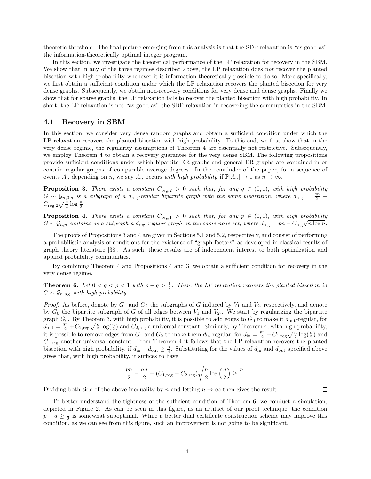theoretic threshold. The final picture emerging from this analysis is that the SDP relaxation is "as good as" the information-theoretically optimal integer program.

In this section, we investigate the theoretical performance of the LP relaxation for recovery in the SBM. We show that in any of the three regimes described above, the LP relaxation does not recover the planted bisection with high probability whenever it is information-theoretically possible to do so. More specifically, we first obtain a sufficient condition under which the LP relaxation recovers the planted bisection for very dense graphs. Subsequently, we obtain non-recovery conditions for very dense and dense graphs. Finally we show that for sparse graphs, the LP relaxation fails to recover the planted bisection with high probability. In short, the LP relaxation is not "as good as" the SDP relaxation in recovering the communities in the SBM.

#### 4.1 Recovery in SBM

In this section, we consider very dense random graphs and obtain a sufficient condition under which the LP relaxation recovers the planted bisection with high probability. To this end, we first show that in the very dense regime, the regularity assumptions of Theorem 4 are essentially not restrictive. Subsequently, we employ Theorem 4 to obtain a recovery guarantee for the very dense SBM. The following propositions provide sufficient conditions under which bipartite ER graphs and general ER graphs are contained in or contain regular graphs of comparable average degrees. In the remainder of the paper, for a sequence of events  $A_n$  depending on n, we say  $A_n$  occurs with high probability if  $\mathbb{P}[A_n] \to 1$  as  $n \to \infty$ .

**Proposition 3.** There exists a constant  $C_{reg,2} > 0$  such that, for any  $q \in (0,1)$ , with high probability  $G \sim \mathcal{G}_{n,0,q}$  is a subgraph of a d<sub>reg</sub>-regular bipartite graph with the same bipartition, where  $d_{reg} = \frac{qn}{2} +$  $C_{\text{reg},2}\sqrt{\frac{n}{2}\log \frac{n}{2}}$ .

**Proposition 4.** There exists a constant  $C_{reg,1} > 0$  such that, for any  $p \in (0,1)$ , with high probability  $G \sim \mathcal{G}_{n,p}$  contains as a subgraph a d<sub>reg</sub>-regular graph on the same node set, where  $d_{\text{reg}} = pn - C_{\text{reg}}\sqrt{n \log n}$ .

The proofs of Propositions 3 and 4 are given in Sections 5.1 and 5.2, respectively, and consist of performing a probabilistic analysis of conditions for the existence of "graph factors" as developed in classical results of graph theory literature [38]. As such, these results are of independent interest to both optimization and applied probability communities.

By combining Theorem 4 and Propositions 4 and 3, we obtain a sufficient condition for recovery in the very dense regime.

**Theorem 6.** Let  $0 < q < p < 1$  with  $p - q > \frac{1}{2}$ . Then, the LP relaxation recovers the planted bisection in  $G \sim \mathcal{G}_{n,p,q}$  with high probability.

*Proof.* As before, denote by  $G_1$  and  $G_2$  the subgraphs of G induced by  $V_1$  and  $V_2$ , respectively, and denote by  $G_0$  the bipartite subgraph of G of all edges between  $V_1$  and  $V_2$ .. We start by regularizing the bipartite graph  $G_0$ . By Theorem 3, with high probability, it is possible to add edges to  $G_0$  to make it  $d_{\text{out}}$ -regular, for  $d_{\text{out}} = \frac{qn}{2} + C_{2,\text{reg}}\sqrt{\frac{n}{2}\log(\frac{n}{2})}$  and  $C_{2,\text{reg}}$  a universal constant. Similarly, by Theorem 4, with high probability, it is possible to remove edges from  $G_1$  and  $G_2$  to make them  $d_{\text{in}}$ -regular, for  $d_{\text{in}} = \frac{pn}{2} - C_{1,\text{reg}}\sqrt{\frac{n}{2}\log(\frac{n}{2})}$  and  $C_{1,reg}$  another universal constant. From Theorem 4 it follows that the LP relaxation recovers the planted bisection with high probability, if  $d_{\text{in}} - d_{\text{out}} \geq \frac{n}{4}$ . Substituting for the values of  $d_{\text{in}}$  and  $d_{\text{out}}$  specified above gives that, with high probability, it suffices to have

$$
\frac{pn}{2} - \frac{qn}{2} - (C_{1,\text{reg}} + C_{2,\text{reg}})\sqrt{\frac{n}{2}\log\left(\frac{n}{2}\right)} \ge \frac{n}{4}.
$$

Dividing both side of the above inequality by n and letting  $n \to \infty$  then gives the result.

 $\Box$ 

To better understand the tightness of the sufficient condition of Theorem 6, we conduct a simulation, depicted in Figure 2. As can be seen in this figure, as an artifact of our proof technique, the condition  $p - q \geq \frac{1}{2}$  is somewhat suboptimal. While a better dual certificate construction scheme may improve this condition, as we can see from this figure, such an improvement is not going to be significant.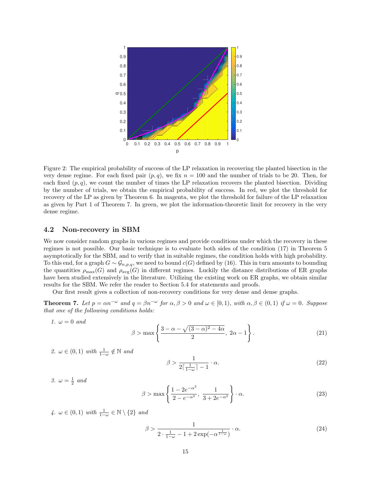

Figure 2: The empirical probability of success of the LP relaxation in recovering the planted bisection in the very dense regime. For each fixed pair  $(p, q)$ , we fix  $n = 100$  and the number of trials to be 20. Then, for each fixed  $(p, q)$ , we count the number of times the LP relaxation recovers the planted bisection. Dividing by the number of trials, we obtain the empirical probability of success. In red, we plot the threshold for recovery of the LP as given by Theorem 6. In magenta, we plot the threshold for failure of the LP relaxation as given by Part 1 of Theorem 7. In green, we plot the information-theoretic limit for recovery in the very dense regime.

#### 4.2 Non-recovery in SBM

We now consider random graphs in various regimes and provide conditions under which the recovery in these regimes is not possible. Our basic technique is to evaluate both sides of the condition (17) in Theorem 5 asymptotically for the SBM, and to verify that in suitable regimes, the condition holds with high probability. To this end, for a graph  $G \sim \mathcal{G}_{n,p,q}$ , we need to bound  $c(G)$  defined by (16). This in turn amounts to bounding the quantities  $\rho_{\text{max}}(G)$  and  $\rho_{\text{avg}}(G)$  in different regimes. Luckily the distance distributions of ER graphs have been studied extensively in the literature. Utilizing the existing work on ER graphs, we obtain similar results for the SBM. We refer the reader to Section 5.4 for statements and proofs.

Our first result gives a collection of non-recovery conditions for very dense and dense graphs.

**Theorem 7.** Let  $p = \alpha n^{-\omega}$  and  $q = \beta n^{-\omega}$  for  $\alpha, \beta > 0$  and  $\omega \in [0, 1)$ , with  $\alpha, \beta \in (0, 1)$  if  $\omega = 0$ . Suppose that one of the following conditions holds:

1.  $\omega = 0$  and

$$
\beta > \max\left\{\frac{3-\alpha-\sqrt{(3-\alpha)^2-4\alpha}}{2}, 2\alpha-1\right\}.
$$
\n(21)

2.  $\omega \in (0,1)$  with  $\frac{1}{1-\omega} \notin \mathbb{N}$  and

$$
\beta > \frac{1}{2\lceil \frac{1}{1-\omega} \rceil - 1} \cdot \alpha. \tag{22}
$$

3.  $\omega = \frac{1}{2}$  and

$$
\beta > \max\left\{\frac{1 - 2e^{-\alpha^2}}{2 - e^{-\alpha^2}}, \frac{1}{3 + 2e^{-\alpha^2}}\right\} \cdot \alpha.
$$
\n(23)

4.  $\omega \in (0,1)$  with  $\frac{1}{1-\omega} \in \mathbb{N} \setminus \{2\}$  and

$$
\beta > \frac{1}{2 \cdot \frac{1}{1-\omega} - 1 + 2\exp(-\alpha^{\frac{1}{1-\omega}})} \cdot \alpha.
$$
\n(24)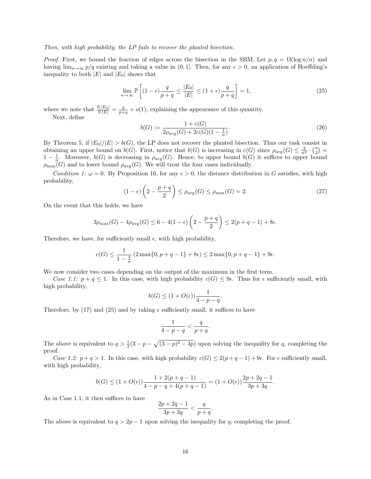#### Then, with high probability, the LP fails to recover the planted bisection.

*Proof.* First, we bound the fraction of edges across the bisection in the SBM. Let  $p, q = \Omega(\log n/n)$  and having  $\lim_{n\to\infty} p/q$  existing and taking a value in  $(0, 1]$ . Then, for any  $\epsilon > 0$ , an application of Hoeffding's inequality to both  $|E|$  and  $|E_0|$  shows that

$$
\lim_{n \to \infty} \mathbb{P}\left[ (1 - \epsilon) \frac{q}{p + q} \le \frac{|E_0|}{|E|} \le (1 + \epsilon) \frac{q}{p + q} \right] = 1,\tag{25}
$$

where we note that  $\frac{\mathbb{E}|E_0|}{\mathbb{E}|E|} = \frac{q}{p+q} + o(1)$ , explaining the appearance of this quantity. Next, define

$$
b(G) := \frac{1 + c(G)}{2\rho_{\text{avg}}(G) + 2c(G)(1 - \frac{1}{n})}.
$$
\n(26)

By Theorem 5, if  $|E_0|/|E| > b(G)$ , the LP does not recover the planted bisection. Thus our task consist in obtaining an upper bound on  $b(G)$ . First, notice that  $b(G)$  is increasing in  $c(G)$  since  $\rho_{\text{avg}}(G) \leq \frac{2}{n^2} \cdot {n \choose 2}$ botaning an apper bound on  $b(G)$ . First, notice that  $b(G)$  is increasing in  $c(G)$  since  $p_{avg}(G) \leq \frac{1}{n^2}$ . Moreover,  $b(G)$  is decreasing in  $\rho_{avg}(G)$ . Hence, to upper bound  $b(G)$  it suffices to upper bound  $\rho_{\text{max}}(G)$  and to lower bound  $\rho_{\text{avg}}(G)$ . We will treat the four cases individually.

Condition 1:  $\omega = 0$ . By Proposition 16, for any  $\epsilon > 0$ , the distance distribution in G satisfies, with high probability,

$$
(1 - \epsilon) \left(2 - \frac{p + q}{2}\right) \le \rho_{\text{avg}}(G) \le \rho_{\text{max}}(G) = 2. \tag{27}
$$

On the event that this holds, we have

$$
3\rho_{\max}(G) - 4\rho_{\text{avg}}(G) \le 6 - 4(1 - \epsilon) \left(2 - \frac{p+q}{2}\right) \le 2(p+q-1) + 8\epsilon.
$$

Therefore, we have, for sufficiently small  $\epsilon$ , with high probability,

$$
c(G) \le \frac{1}{1 - \frac{4}{n}} \left( 2 \max\{0, p + q - 1\} + 8\epsilon \right) \le 2 \max\{0, p + q - 1\} + 9\epsilon.
$$

We now consider two cases depending on the output of the maximum in the first term.

Case 1.1:  $p + q \leq 1$ . In this case, with high probability  $c(G) \leq 9\epsilon$ . Thus for  $\epsilon$  sufficiently small, with high probability,

$$
b(G) \le (1 + O(\epsilon)) \frac{1}{4 - p - q}.
$$

Therefore, by (17) and (25) and by taking  $\epsilon$  sufficiently small, it suffices to have

$$
\frac{1}{4-p-q} < \frac{q}{p+q}.
$$

The above is equivalent to  $q > \frac{1}{2}(3 - p - \sqrt{(3 - p)^2 - 4p})$  upon solving the inequality for q, completing the proof.

Case 1.2:  $p+q>1$ . In this case, with high probability  $c(G) \leq 2(p+q-1)+9\epsilon$ . For  $\epsilon$  sufficiently small, with high probability,

$$
b(G) \le (1 + O(\epsilon)) \frac{1 + 2(p + q - 1)}{4 - p - q + 4(p + q - 1)} = (1 + O(\epsilon)) \frac{2p + 2q - 1}{3p + 3q}.
$$

As in Case 1.1, it then suffices to have

$$
\frac{2p+2q-1}{3p+3q} < \frac{q}{p+q}.
$$

The above is equivalent to  $q > 2p - 1$  upon solving the inequality for q, completing the proof.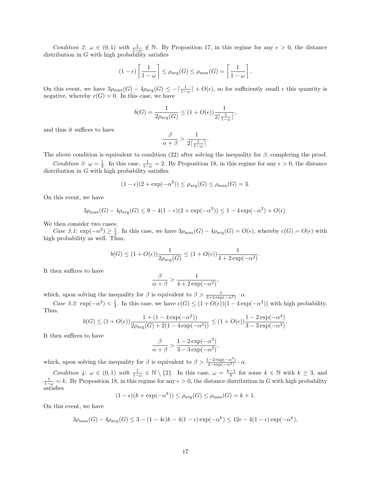Condition 2:  $\omega \in (0,1)$  with  $\frac{1}{1-\omega} \notin \mathbb{N}$ . By Proposition 17, in this regime for any  $\epsilon > 0$ , the distance distribution in  $G$  with high probability satisfies

$$
(1 - \epsilon) \left[ \frac{1}{1 - \omega} \right] \le \rho_{\text{avg}}(G) \le \rho_{\text{max}}(G) = \left[ \frac{1}{1 - \omega} \right].
$$

On this event, we have  $3\rho_{\text{max}}(G) - 4\rho_{\text{avg}}(G) \le -\left[\frac{1}{1-\omega}\right] + O(\epsilon)$ , so for sufficiently small  $\epsilon$  this quantity is negative, whereby  $c(G) = 0$ . In this case, we have

$$
b(G) = \frac{1}{2\rho_{\text{avg}}(G)} \le (1 + O(\epsilon)) \frac{1}{2\lceil \frac{1}{1 - \omega} \rceil},
$$

and thus it suffices to have

$$
\frac{\beta}{\alpha+\beta} > \frac{1}{2\lceil \frac{1}{1-\omega} \rceil}
$$

.

The above condition is equivalent to condition (22) after solving the inequality for  $\beta$ , completing the proof.

Condition 3:  $\omega = \frac{1}{2}$ . In this case,  $\frac{1}{1-\omega} = 2$ . By Proposition 18, in this regime for any  $\epsilon > 0$ , the distance distribution in  $G$  with high probability satisfies

$$
(1 - \epsilon)(2 + \exp(-\alpha^2)) \le \rho_{\text{avg}}(G) \le \rho_{\text{max}}(G) = 3.
$$

On this event, we have

$$
3\rho_{\max}(G) - 4\rho_{\text{avg}}(G) \le 9 - 4(1 - \epsilon)(2 + \exp(-\alpha^2)) \le 1 - 4\exp(-\alpha^2) + O(\epsilon).
$$

We then consider two cases:

Case 3.1:  $\exp(-\alpha^2) \geq \frac{1}{4}$ . In this case, we have  $3\rho_{\max}(G) - 4\rho_{\text{avg}}(G) = O(\epsilon)$ , whereby  $c(G) = O(\epsilon)$  with high probability as well. Thus,

$$
b(G) \leq (1+O(\epsilon)) \frac{1}{2\rho_{\text{avg}}(G)} \leq (1+O(\epsilon)) \frac{1}{4+2\exp(-\alpha^2)}.
$$

It then suffices to have

$$
\frac{\beta}{\alpha+\beta} > \frac{1}{4 + 2\exp(-\alpha^2)},
$$

which, upon solving the inequality for  $\beta$  is equivalent to  $\beta > \frac{1}{3+2\exp(-\alpha^2)} \cdot \alpha$ .

Case 3.2:  $\exp(-\alpha^2) < \frac{1}{4}$ . In this case, we have  $c(G) \leq (1 + O(\epsilon))(1 - 4\exp(-\alpha^2))$  with high probability. Thus,

$$
b(G) \le (1 + O(\epsilon)) \frac{1 + (1 - 4\exp(-\alpha^2))}{2\rho_{\text{avg}}(G) + 2(1 - 4\exp(-\alpha^2))} \le (1 + O(\epsilon)) \frac{1 - 2\exp(-\alpha^2)}{3 - 3\exp(-\alpha^2)}.
$$

It then suffices to have

$$
\frac{\beta}{\alpha+\beta} > \frac{1-2\exp(-\alpha^2)}{3-3\exp(-\alpha^2)},
$$

which, upon solving the inequality for  $\beta$  is equivalent to  $\beta > \frac{1-2\exp(-\alpha^2)}{2-\exp(-\alpha^2)} \cdot \alpha$ .

Condition 4:  $\omega \in (0,1)$  with  $\frac{1}{1-\omega} \in \mathbb{N} \setminus \{2\}$ . In this case,  $\omega = \frac{k-1}{k}$  for some  $k \in \mathbb{N}$  with  $k \geq 3$ , and  $\frac{1}{1-\omega} = k$ . By Proposition 18, in this regime for any  $\epsilon > 0$ , the distance distribution in G with high probability satisfies

$$
(1 - \epsilon)(k + \exp(-\alpha^k)) \le \rho_{\text{avg}}(G) \le \rho_{\text{max}}(G) = k + 1.
$$

On this event, we have

$$
3\rho_{\max}(G) - 4\rho_{\text{avg}}(G) \le 3 - (1 - 4\epsilon)k - 4(1 - \epsilon)\exp(-\alpha^k) \le 12\epsilon - 4(1 - \epsilon)\exp(-\alpha^k),
$$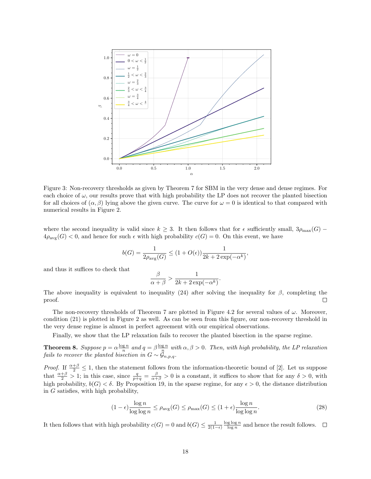

Figure 3: Non-recovery thresholds as given by Theorem 7 for SBM in the very dense and dense regimes. For each choice of  $\omega$ , our results prove that with high probability the LP does not recover the planted bisection for all choices of  $(\alpha, \beta)$  lying above the given curve. The curve for  $\omega = 0$  is identical to that compared with numerical results in Figure 2.

where the second inequality is valid since  $k \geq 3$ . It then follows that for  $\epsilon$  sufficiently small,  $3\rho_{\text{max}}(G)$  –  $4\rho_{\text{avg}}(G) < 0$ , and hence for such  $\epsilon$  with high probability  $c(G) = 0$ . On this event, we have

$$
b(G)=\frac{1}{2\rho_{\text{avg}}(G)}\leq (1+O(\epsilon))\frac{1}{2k+2\exp(-\alpha^k)},
$$

and thus it suffices to check that

$$
\frac{\beta}{\alpha+\beta} > \frac{1}{2k + 2\exp(-\alpha^k)}.
$$

The above inequality is equivalent to inequality (24) after solving the inequality for  $\beta$ , completing the proof.  $\Box$ 

The non-recovery thresholds of Theorem 7 are plotted in Figure 4.2 for several values of  $\omega$ . Moreover, condition (21) is plotted in Figure 2 as well. As can be seen from this figure, our non-recovery threshold in the very dense regime is almost in perfect agreement with our empirical observations.

Finally, we show that the LP relaxation fails to recover the planted bisection in the sparse regime.

**Theorem 8.** Suppose  $p = \alpha \frac{\log n}{n}$  and  $q = \beta \frac{\log n}{n}$  with  $\alpha, \beta > 0$ . Then, with high probability, the LP relaxation fails to recover the planted bisection in  $G \sim \mathcal{G}_{n,p,q}.$ 

*Proof.* If  $\frac{\alpha+\beta}{2} \leq 1$ , then the statement follows from the information-theoretic bound of [2]. Let us suppose that  $\frac{\alpha+\beta}{2} > 1$ ; in this case, since  $\frac{q}{p+q} = \frac{\beta}{\alpha+\beta} > 0$  is a constant, it suffices to show that for any  $\delta > 0$ , with high probability,  $b(G) < \delta$ . By Proposition 19, in the sparse regime, for any  $\epsilon > 0$ , the distance distribution in G satisfies, with high probability,

$$
(1 - \epsilon) \frac{\log n}{\log \log n} \le \rho_{\text{avg}}(G) \le \rho_{\text{max}}(G) \le (1 + \epsilon) \frac{\log n}{\log \log n}.
$$
\n(28)

It then follows that with high probability  $c(G) = 0$  and  $b(G) \le \frac{1}{2(1-\epsilon)} \frac{\log \log n}{\log n}$  and hence the result follows.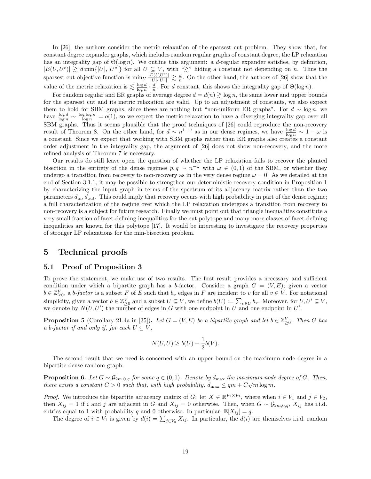In [26], the authors consider the metric relaxation of the sparsest cut problem. They show that, for constant degree expander graphs, which includes random regular graphs of constant degree, the LP relaxation has an integrality gap of  $\Theta(\log n)$ . We outline this argument: a d-regular expander satisfies, by definition,  $|E(U, U^c)| \ge d \min\{|U|, |U^c|\}$  for all  $U \subseteq V$ , with " $\gtrsim$ " hiding a constant not depending on n. Thus the sparsest cut objective function is  $\min_U \frac{|E(U,U^c)|}{|U|\cdot|U^c|} \gtrsim \frac{d}{n}$ . On the other hand, the authors of [26] show that the value of the metric relaxation is  $\lesssim \frac{\log d}{\log n} \cdot \frac{d}{n}$ . For d constant, this shows the integrality gap of  $\Theta(\log n)$ .

For random regular and ER graphs of average degree  $d = d(n) \gtrsim \log n$ , the same lower and upper bounds for the sparsest cut and its metric relaxation are valid. Up to an adjustment of constants, we also expect them to hold for SBM graphs, since these are nothing but "non-uniform ER graphs". For  $d \sim \log n$ , we have  $\frac{\log d}{\log n} \sim \frac{\log \log n}{\log n} = o(1)$ , so we expect the metric relaxation to have a diverging integrality gap over all SBM graphs. Thus it seems plausible that the proof techniques of [26] could reproduce the non-recovery result of Theorem 8. On the other hand, for  $d \sim n^{1-\omega}$  as in our dense regimes, we have  $\frac{\log d}{\log n} \sim 1-\omega$  is a constant. Since we expect that working with SBM graphs rather than ER graphs also creates a constant order adjustment in the integrality gap, the argument of [26] does not show non-recovery, and the more refined analysis of Theorem 7 is necessary.

Our results do still leave open the question of whether the LP relaxation fails to recover the planted bisection in the entirety of the dense regimes  $p, q \sim n^{-\omega}$  with  $\omega \in (0, 1)$  of the SBM, or whether they undergo a transition from recovery to non-recovery as in the very dense regime  $\omega = 0$ . As we detailed at the end of Section 3.1.1, it may be possible to strengthen our deterministic recovery condition in Proposition 1 by characterizing the input graph in terms of the spectrum of its adjacency matrix rather than the two parameters  $d_{\text{in}}$ ,  $d_{\text{out}}$ . This could imply that recovery occurs with high probability in part of the dense regime; a full characterization of the regime over which the LP relaxation undergoes a transition from recovery to non-recovery is a subject for future research. Finally we must point out that triangle inequalities constitute a very small fraction of facet-defining inequalities for the cut polytope and many more classes of facet-defining inequalities are known for this polytope [17]. It would be interesting to investigate the recovery properties of stronger LP relaxations for the min-bisection problem.

## 5 Technical proofs

#### 5.1 Proof of Proposition 3

To prove the statement, we make use of two results. The first result provides a necessary and sufficient condition under which a bipartite graph has a b-factor. Consider a graph  $G = (V, E)$ ; given a vector  $b \in \mathbb{Z}_{\geq 0}^V$ , a b-factor is a subset F of E such that  $b_v$  edges in F are incident to v for all  $v \in V$ . For notational simplicity, given a vector  $b \in \mathbb{Z}_{\geq 0}^V$  and a subset  $U \subseteq V$ , we define  $b(U) := \sum_{v \in U} b_v$ . Moreover, for  $U, U' \subseteq V$ , we denote by  $N(U, U')$  the number of edges in G with one endpoint in U and one endpoint in U'.

**Proposition 5** (Corollary 21.4a in [35]). Let  $G = (V, E)$  be a bipartite graph and let  $b \in \mathbb{Z}_{\geq 0}^V$ . Then G has a b-factor if and only if, for each  $U \subseteq V$ ,

$$
N(U,U)\geq b(U)-\frac{1}{2}b(V).
$$

The second result that we need is concerned with an upper bound on the maximum node degree in a bipartite dense random graph.

**Proposition 6.** Let  $G \sim \mathcal{G}_{2m,0,q}$  for some  $q \in (0,1)$ . Denote by  $d_{\text{max}}$  the maximum node degree of G. Then, there exists a constant  $C > 0$  such that, with high probability,  $d_{\text{max}} \leq qm + C\sqrt{m \log m}$ .

*Proof.* We introduce the bipartite adjacency matrix of G: let  $X \in \mathbb{R}^{V_1 \times V_2}$ , where when  $i \in V_1$  and  $j \in V_2$ , then  $X_{ij} = 1$  if i and j are adjacent in G and  $X_{ij} = 0$  otherwise. Then, when  $G \sim \mathcal{G}_{2m,0,q}$ ,  $X_{ij}$  has i.i.d. entries equal to 1 with probability q and 0 otherwise. In particular,  $\mathbb{E}[X_{ij}] = q$ .

The degree of  $i \in V_1$  is given by  $d(i) = \sum_{j \in V_2} X_{ij}$ . In particular, the  $d(i)$  are themselves i.i.d. random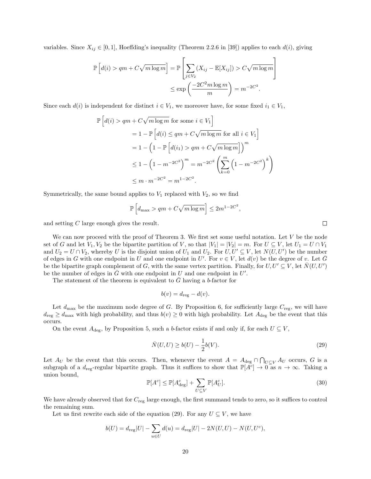variables. Since  $X_{ij} \in [0,1]$ , Hoeffding's inequality (Theorem 2.2.6 in [39]) applies to each  $d(i)$ , giving

$$
\mathbb{P}\left[d(i) > qm + C\sqrt{m\log m}\right] = \mathbb{P}\left[\sum_{j \in V_2} (X_{ij} - \mathbb{E}[X_{ij}]) > C\sqrt{m\log m}\right]
$$

$$
\leq \exp\left(\frac{-2C^2 m \log m}{m}\right) = m^{-2C^2}.
$$

Since each  $d(i)$  is independent for distinct  $i \in V_1$ , we moreover have, for some fixed  $i_1 \in V_1$ ,

$$
\mathbb{P}\left[d(i) > qm + C\sqrt{m\log m} \text{ for some } i \in V_1\right]
$$
  
=  $1 - \mathbb{P}\left[d(i) \le qm + C\sqrt{m\log m} \text{ for all } i \in V_1\right]$   
=  $1 - \left(1 - \mathbb{P}\left[d(i_1) > qm + C\sqrt{m\log m}\right]\right)^m$   
 $\le 1 - \left(1 - m^{-2C^2}\right)^m = m^{-2C^2} \left(\sum_{k=0}^m \left(1 - m^{-2C^2}\right)^k\right)$   
 $\le m \cdot m^{-2C^2} = m^{1-2C^2}.$ 

Symmetrically, the same bound applies to  $V_1$  replaced with  $V_2$ , so we find

$$
\mathbb{P}\left[d_{\max} > qm + C\sqrt{m\log m}\right] \le 2m^{1-2C^2}
$$

and setting C large enough gives the result.

We can now proceed with the proof of Theorem 3. We first set some useful notation. Let  $V$  be the node set of G and let  $V_1, V_2$  be the bipartite partition of V, so that  $|V_1| = |V_2| = m$ . For  $U \subseteq V$ , let  $U_1 = U \cap V_1$ and  $U_2 = U \cap V_2$ , whereby U is the disjoint union of  $U_1$  and  $U_2$ . For  $U, U' \subseteq V$ , let  $N(U, U')$  be the number of edges in G with one endpoint in U and one endpoint in U'. For  $v \in V$ , let  $d(v)$  be the degree of v. Let  $\overline{G}$ be the bipartite graph complement of G, with the same vertex partition. Finally, for  $U, U' \subseteq V$ , let  $\overline{N}(U, U')$ be the number of edges in  $\overline{G}$  with one endpoint in U and one endpoint in U'.

The statement of the theorem is equivalent to  $\overline{G}$  having a b-factor for

$$
b(v) = d_{\text{reg}} - d(v).
$$

Let  $d_{\text{max}}$  be the maximum node degree of G. By Proposition 6, for sufficiently large  $C_{\text{reg}}$ , we will have  $d_{\text{reg}} \geq d_{\text{max}}$  with high probability, and thus  $b(v) \geq 0$  with high probability. Let  $A_{\text{deg}}$  be the event that this occurs.

On the event  $A_{\text{deg}}$ , by Proposition 5, such a b-factor exists if and only if, for each  $U \subseteq V$ ,

$$
\bar{N}(U, U) \ge b(U) - \frac{1}{2}b(V). \tag{29}
$$

,

Let  $A_U$  be the event that this occurs. Then, whenever the event  $A = A_{\text{deg}} \cap \bigcap_{U \subseteq V} A_U$  occurs, G is a subgraph of a  $d_{reg}$ -regular bipartite graph. Thus it suffices to show that  $\mathbb{P}[A^c] \to 0$  as  $n \to \infty$ . Taking a union bound,

$$
\mathbb{P}[A^c] \le \mathbb{P}[A^c_{\text{deg}}] + \sum_{U \subseteq V} \mathbb{P}[A^c_U].
$$
\n(30)

We have already observed that for  $C_{\text{reg}}$  large enough, the first summand tends to zero, so it suffices to control the remaining sum.

Let us first rewrite each side of the equation (29). For any  $U \subseteq V$ , we have

$$
b(U) = d_{\text{reg}}|U| - \sum_{u \in U} d(u) = d_{\text{reg}}|U| - 2N(U, U) - N(U, U^c),
$$

 $\Box$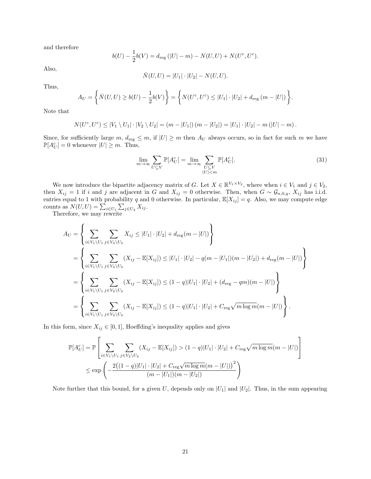and therefore

$$
b(U) - \frac{1}{2}b(V) = d_{\text{reg}}(|U| - m) - N(U, U) + N(U^c, U^c).
$$

Also,

$$
\bar{N}(U, U) = |U_1| \cdot |U_2| - N(U, U).
$$

Thus,

$$
A_U = \left\{ \bar{N}(U, U) \ge b(U) - \frac{1}{2}b(V) \right\} = \left\{ N(U^c, U^c) \le |U_1| \cdot |U_2| + d_{\text{reg}} \left( m - |U| \right) \right\}.
$$

Note that

$$
N(U^{c}, U^{c}) \leq |V_{1} \setminus U_{1}| \cdot |V_{2} \setminus U_{2}| = (m - |U_{1}|)(m - |U_{2}|) = |U_{1}| \cdot |U_{2}| - m(|U| - m).
$$

Since, for sufficiently large m,  $d_{reg} \leq m$ , if  $|U| \geq m$  then  $A_U$  always occurs, so in fact for such m we have  $\mathbb{P}[A_U^c] = 0$  whenever  $|U| \geq m$ . Thus,

$$
\lim_{m \to \infty} \sum_{U \subseteq V} \mathbb{P}[A_U^c] = \lim_{m \to \infty} \sum_{\substack{U \subseteq V \\ |U| < m}} \mathbb{P}[A_U^c].\tag{31}
$$

We now introduce the bipartite adjacency matrix of G. Let  $X \in \mathbb{R}^{V_1 \times V_2}$ , where when  $i \in V_1$  and  $j \in V_2$ , then  $X_{ij} = 1$  if i and j are adjacent in G and  $X_{ij} = 0$  otherwise. Then, when  $G \sim \mathcal{G}_{n,0,q}$ ,  $X_{ij}$  has i.i.d. entries equal to 1 with probability q and 0 otherwise. In particular,  $\mathbb{E}[X_{ij}] = q$ . Also, we may compute edge counts as  $N(U, U) = \sum_{i \in U_1} \sum_{j \in U_2} X_{ij}$ .<br>Therefore, we may rewrite

$$
A_{U} = \left\{ \sum_{i \in V_{1} \setminus U_{1}} \sum_{j \in V_{2} \setminus U_{2}} X_{ij} \leq |U_{1}| \cdot |U_{2}| + d_{\text{reg}}(m - |U|) \right\}
$$
  
\n
$$
= \left\{ \sum_{i \in V_{1} \setminus U_{1}} \sum_{j \in V_{2} \setminus U_{2}} (X_{ij} - \mathbb{E}[X_{ij}]) \leq |U_{1}| \cdot |U_{2}| - q(m - |U_{1}|)(m - |U_{2}|) + d_{\text{reg}}(m - |U|) \right\}
$$
  
\n
$$
= \left\{ \sum_{i \in V_{1} \setminus U_{1}} \sum_{j \in V_{2} \setminus U_{2}} (X_{ij} - \mathbb{E}[X_{ij}]) \leq (1 - q)|U_{1}| \cdot |U_{2}| + (d_{\text{reg}} - qm)(m - |U|) \right\}
$$
  
\n
$$
= \left\{ \sum_{i \in V_{1} \setminus U_{1}} \sum_{j \in V_{2} \setminus U_{2}} (X_{ij} - \mathbb{E}[X_{ij}]) \leq (1 - q)|U_{1}| \cdot |U_{2}| + C_{\text{reg}} \sqrt{m \log m} (m - |U|) \right\}.
$$

In this form, since  $X_{ij} \in [0, 1]$ , Hoeffding's inequality applies and gives

$$
\mathbb{P}[A_U^c] = \mathbb{P}\left[\sum_{i \in V_1 \setminus U_1} \sum_{j \in V_2 \setminus U_2} (X_{ij} - \mathbb{E}[X_{ij}]) > (1-q)|U_1| \cdot |U_2| + C_{\text{reg}} \sqrt{m \log m}(m - |U|) \right]
$$
  

$$
\le \exp\left(-\frac{2((1-q)|U_1| \cdot |U_2| + C_{\text{reg}} \sqrt{m \log m}(m - |U|))^2}{(m - |U_1|)(m - |U_2|)}\right)
$$

Note further that this bound, for a given U, depends only on  $|U_1|$  and  $|U_2|$ . Thus, in the sum appearing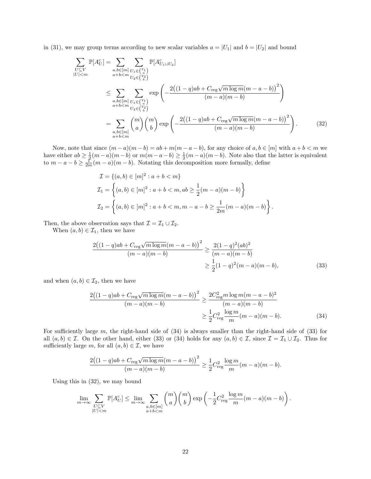in (31), we may group terms according to new scalar variables  $a = |U_1|$  and  $b = |U_2|$  and bound

$$
\sum_{\substack{U \subseteq V \\ |U| < m}} \mathbb{P}[A_U^c] = \sum_{\substack{a, b \in [m] \\ a+b < m}} \sum_{\substack{U_1 \in {V_1} \\ U_2 \in {V_2}}} \mathbb{P}[A_{U_1 \cup U_2}^c]
$$
\n
$$
\leq \sum_{\substack{a, b \in [m] \\ a+b < m}} \sum_{\substack{U_1 \in {V_1} \\ U_2 \in {V_2} \\ U_2 \in {V_2}}} \exp\left(-\frac{2((1-q)ab + C_{\text{reg}}\sqrt{m \log m(m - a - b)})^2}{(m - a)(m - b)}\right)
$$
\n
$$
= \sum_{\substack{a, b \in [m] \\ a+b < m}} {m \choose a} {m \choose b} \exp\left(-\frac{2((1-q)ab + C_{\text{reg}}\sqrt{m \log m(m - a - b)})^2}{(m - a)(m - b)}\right). \tag{32}
$$

Now, note that since  $(m - a)(m - b) = ab + m(m - a - b)$ , for any choice of  $a, b \in [m]$  with  $a + b < m$  we have either  $ab \geq \frac{1}{2}(m-a)(m-b)$  or  $m(m-a-b) \geq \frac{1}{2}(m-a)(m-b)$ . Note also that the latter is equivalent to  $m - a - b \geq \frac{1}{2m}(m - a)(m - b)$ . Notating this decomposition more formally, define

$$
\mathcal{I} = \{(a, b) \in [m]^2 : a + b < m\}
$$
\n
$$
\mathcal{I}_1 = \left\{(a, b) \in [m]^2 : a + b < m, ab \ge \frac{1}{2}(m - a)(m - b)\right\}
$$
\n
$$
\mathcal{I}_2 = \left\{(a, b) \in [m]^2 : a + b < m, m - a - b \ge \frac{1}{2m}(m - a)(m - b)\right\}.
$$

Then, the above observation says that  $\mathcal{I} = \mathcal{I}_1 \cup \mathcal{I}_2$ .

When  $(a, b) \in \mathcal{I}_1$ , then we have

$$
\frac{2((1-q)ab + C_{\text{reg}}\sqrt{m\log m}(m-a-b))^2}{(m-a)(m-b)} \ge \frac{2(1-q)^2(ab)^2}{(m-a)(m-b)} \ge \frac{1}{2}(1-q)^2(m-a)(m-b),\tag{33}
$$

and when  $(a, b) \in \mathcal{I}_2$ , then we have

$$
\frac{2((1-q)ab + C_{\text{reg}}\sqrt{m\log m}(m - a - b))^2}{(m - a)(m - b)} \ge \frac{2C_{\text{reg}}^2 m \log m(m - a - b)^2}{(m - a)(m - b)}
$$

$$
\ge \frac{1}{2}C_{\text{reg}}^2 \frac{\log m}{m}(m - a)(m - b). \tag{34}
$$

For sufficiently large  $m$ , the right-hand side of  $(34)$  is always smaller than the right-hand side of  $(33)$  for all  $(a, b) \in \mathcal{I}$ . On the other hand, either (33) or (34) holds for any  $(a, b) \in \mathcal{I}$ , since  $\mathcal{I} = \mathcal{I}_1 \cup \mathcal{I}_2$ . Thus for sufficiently large m, for all  $(a, b) \in \mathcal{I}$ , we have

$$
\frac{2((1-q)ab + C_{\text{reg}}\sqrt{m\log m}(m - a - b))^2}{(m - a)(m - b)} \ge \frac{1}{2}C_{\text{reg}}^2 \frac{\log m}{m}(m - a)(m - b).
$$

Using this in (32), we may bound

$$
\lim_{m \to \infty} \sum_{\substack{U \subseteq V \\ |U| < m}} \mathbb{P}[A_U^c] \leq \lim_{m \to \infty} \sum_{\substack{a, b \in [m] \\ a+b < m}} \binom{m}{a} \binom{m}{b} \exp\left(-\frac{1}{2} C_{\text{reg}}^2 \frac{\log m}{m} (m-a)(m-b)\right).
$$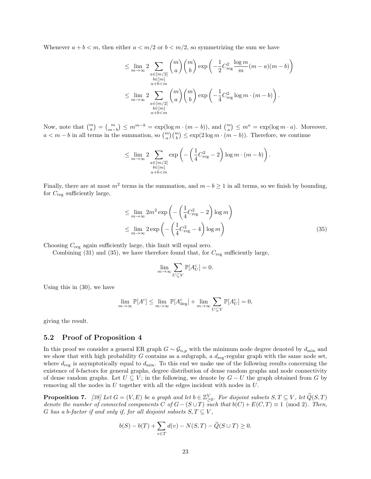Whenever  $a + b < m$ , then either  $a < m/2$  or  $b < m/2$ , so symmetrizing the sum we have

$$
\leq \lim_{m \to \infty} 2 \sum_{\substack{a \in [m/2] \\ b \in [m] \\ a+b < m}} {m \choose a} {m \choose b} \exp \left( -\frac{1}{2} C_{\text{reg}}^2 \frac{\log m}{m} (m-a)(m-b) \right)
$$
  

$$
\leq \lim_{m \to \infty} 2 \sum_{\substack{a \in [m/2] \\ b \in [m] \\ a+b < m}} {m \choose b} {m \choose b} \exp \left( -\frac{1}{4} C_{\text{reg}}^2 \log m \cdot (m-b) \right).
$$

Now, note that  $\binom{m}{b} = \binom{m}{m-b} \le m^{m-b} = \exp(\log m \cdot (m-b))$ , and  $\binom{m}{a} \le m^a = \exp(\log m \cdot a)$ . Moreover,  $a < m-b$  in all terms in the summation, so  $\binom{m}{a}\binom{m}{b} \leq \exp(2\log m \cdot (m-b))$ . Therefore, we continue

$$
\leq \lim_{m\to\infty} 2\sum_{\substack{a\in[m/2]\\b\in[m]\\a+b
$$

Finally, there are at most  $m^2$  terms in the summation, and  $m - b \ge 1$  in all terms, so we finish by bounding, for  $C_{\text{reg}}$  sufficiently large,

$$
\leq \lim_{m \to \infty} 2m^2 \exp\left(-\left(\frac{1}{4}C_{\text{reg}}^2 - 2\right) \log m\right)
$$
  

$$
\leq \lim_{m \to \infty} 2 \exp\left(-\left(\frac{1}{4}C_{\text{reg}}^2 - 4\right) \log m\right)
$$
 (35)

Choosing  $C_{\text{reg}}$  again sufficiently large, this limit will equal zero.

Combining (31) and (35), we have therefore found that, for  $C_{\text{reg}}$  sufficiently large,

$$
\lim_{m \to \infty} \sum_{U \subseteq V} \mathbb{P}[A_U^c] = 0.
$$

Using this in (30), we have

$$
\lim_{m\to\infty} \mathbb{P}[A^c] \leq \lim_{m\to\infty} \mathbb{P}[A^c_{\text{deg}}] + \lim_{m\to\infty} \sum_{U \subseteq V} \mathbb{P}[A^c_U] = 0,
$$

giving the result.

#### 5.2 Proof of Proposition 4

In this proof we consider a general ER graph  $G \sim \mathcal{G}_{n,p}$  with the minimum node degree denoted by  $d_{\min}$  and we show that with high probability G contains as a subgraph, a  $d_{\text{reg}}$ -regular graph with the same node set, where  $d_{\text{reg}}$  is asymptotically equal to  $d_{\text{min}}$ . To this end we make use of the following results concerning the existence of b-factors for general graphs, degree distribution of dense random graphs and node connectivity of dense random graphs. Let  $U \subseteq V$ ; in the following, we denote by  $G - U$  the graph obtained from G by removing all the nodes in  $U$  together with all the edges incident with nodes in  $U$ .

**Proposition 7.** [38] Let  $G = (V, E)$  be a graph and let  $b \in \mathbb{Z}_{\geq 0}^V$ . For disjoint subsets  $S, T \subseteq V$ , let  $\widetilde{Q}(S, T)$ denote the number of connected components C of  $G - (S \cup T)$  such that  $b(C) + E(C, T) \equiv 1 \pmod{2}$ . Then, G has a b-factor if and only if, for all disjoint subsets  $S, T \subseteq V$ ,

$$
b(S) - b(T) + \sum_{v \in T} d(v) - N(S, T) - \widetilde{Q}(S \cup T) \ge 0.
$$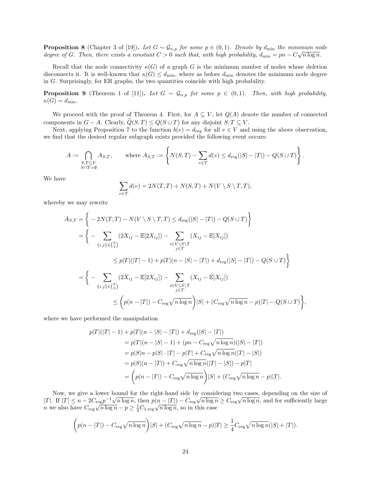**Proposition 8** (Chapter 3 of [19]). Let  $G \sim \mathcal{G}_{n,p}$  for some  $p \in (0,1)$ . Denote by  $d_{\min}$  the minimum node degree of G. Then, there exists a constant  $C > 0$  such that, with high probability,  $d_{\min} = pn - C\sqrt{n \log n}$ .

Recall that the node connectivity  $\kappa(G)$  of a graph G is the minimum number of nodes whose deletion disconnects it. It is well-known that  $\kappa(G) \leq d_{\min}$ , where as before  $d_{\min}$  denotes the minimum node degree in G. Surprisingly, for ER graphs, the two quantities coincide with high probability.

**Proposition 9** (Theorem 1 of [11]). Let  $G \sim \mathcal{G}_{n,p}$  for some  $p \in (0,1)$ . Then, with high probability,  $\kappa(G) = d_{\min}.$ 

We proceed with the proof of Theorem 4. First, for  $A \subseteq V$ , let  $Q(A)$  denote the number of connected components in  $G - A$ . Clearly,  $\widetilde{Q}(S,T) \leq Q(S \cup T)$  for any disjoint  $S, T \subseteq V$ .

Next, applying Proposition 7 to the function  $b(v) = d_{\text{reg}}$  for all  $v \in V$  and using the above observation, we find that the desired regular subgraph exists provided the following event occurs:

$$
A:=\bigcap_{\substack{S,T\subseteq V\\S\cap T=\emptyset}}A_{S,T},\qquad\text{where}\ A_{S,T}:=\left\{N(S,T)-\sum_{v\in T}d(v)\leq d_{\text{reg}}(|S|-|T|)-Q(S\cup T)\right\}.
$$

We have

$$
\sum_{v \in T} d(v) = 2N(T, T) + N(S, T) + N(V \setminus S \setminus T, T),
$$

whereby we may rewrite

$$
A_{S,T} = \left\{ -2N(T,T) - N(V \setminus S \setminus T, T) \leq d_{\text{reg}}(|S| - |T|) - Q(S \cup T) \right\}
$$
  
= 
$$
\left\{ -\sum_{\{i,j\} \in {T \atop \text{$(2X_{ij})$}} (2X_{ij} - \mathbb{E}[2X_{ij}]) - \sum_{\substack{i \in V \setminus S \setminus T \\ j \in T}} (X_{ij} - \mathbb{E}[X_{ij}]) \right\}
$$
  

$$
\leq p|T|(|T| - 1) + p|T|(n - |S| - |T|) + d_{\text{reg}}(|S| - |T|) - Q(S \cup T) \right\}
$$
  
= 
$$
\left\{ -\sum_{\{i,j\} \in {T \atop \text{$(2X_{ij})$}} (2X_{ij} - \mathbb{E}[2X_{ij}]) - \sum_{\substack{i \in V \setminus S \setminus T \\ j \in T}} (X_{ij} - \mathbb{E}[X_{ij}]) \right\}
$$
  

$$
\leq \left( p(n - |T|) - C_{\text{reg}} \sqrt{n \log n} \right) |S| + (C_{\text{reg}} \sqrt{n \log n} - p)|T| - Q(S \cup T) \right\},
$$

where we have performed the manipulation

$$
p|T|(|T|-1) + p|T|(n - |S| - |T|) + d_{\text{reg}}(|S| - |T|)
$$
  
=  $p|T|(n - |S| - 1) + (pn - C_{\text{reg}}\sqrt{n \log n})(|S| - |T|)$   
=  $p|S|n - p|S| \cdot |T| - p|T| + C_{\text{reg}}\sqrt{n \log n}(|T| - |S|)$   
=  $p|S|(n - |T|) + C_{\text{reg}}\sqrt{n \log n}(|T| - |S|) - p|T|$   
=  $\left(p(n - |T|) - C_{\text{reg}}\sqrt{n \log n}\right)|S| + (C_{\text{reg}}\sqrt{n \log n} - p)|T|.$ 

Now, we give a lower bound for the right-hand side by considering two cases, depending on the size of |T|. If  $|T| \leq n - 2C_{\text{reg}}p^{-1}\sqrt{n\log n}$ , then  $p(n-|T|) - C_{\text{reg}}\sqrt{n\log n} \geq C_{\text{reg}}\sqrt{n\log n}$ , and for sufficiently large n we also have  $C_{\text{reg}}\sqrt{n \log n} - p \geq \frac{1}{4}C_{1,\text{reg}}\sqrt{n \log n}$ , so in this case

$$
\left(p(n-|T|) - C_{\text{reg}}\sqrt{n\log n}\right)|S| + (C_{\text{reg}}\sqrt{n\log n} - p)|T| \ge \frac{1}{4}C_{\text{reg}}\sqrt{n\log n}(|S| + |T|).
$$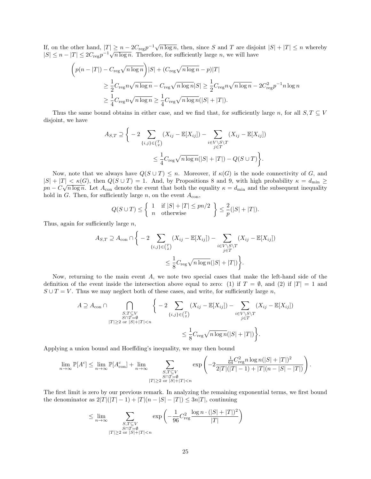If, on the other hand,  $|T| \geq n - 2C_{reg}p^{-1}\sqrt{n \log n}$ , then, since S and T are disjoint  $|S| + |T| \leq n$  whereby  $|S| \leq n - |T| \leq 2C_{\text{reg}}p^{-1}\sqrt{n \log n}$ . Therefore, for sufficiently large *n*, we will have

$$
\left(p(n-|T|) - C_{\text{reg}}\sqrt{n\log n}\right)|S| + (C_{\text{reg}}\sqrt{n\log n} - p)|T|
$$
  
\n
$$
\geq \frac{1}{2}C_{\text{reg}}n\sqrt{n\log n} - C_{\text{reg}}\sqrt{n\log n}|S| \geq \frac{1}{2}C_{\text{reg}}n\sqrt{n\log n} - 2C_{\text{reg}}^2p^{-1}n\log n
$$
  
\n
$$
\geq \frac{1}{4}C_{\text{reg}}n\sqrt{n\log n} \geq \frac{1}{4}C_{\text{reg}}\sqrt{n\log n}(|S| + |T|).
$$

Thus the same bound obtains in either case, and we find that, for sufficiently large n, for all  $S, T \subseteq V$ disjoint, we have

$$
A_{S,T} \supseteq \bigg\{-2\sum_{\{i,j\}\in\binom{T}{2}}(X_{ij}-\mathbb{E}[X_{ij}])-\sum_{\substack{i\in V\setminus S\setminus T\\j\in T}}(X_{ij}-\mathbb{E}[X_{ij}])\bigg\}\leq \frac{1}{4}C_{\text{reg}}\sqrt{n\log n}(|S|+|T|)-Q(S\cup T)\bigg\}.
$$

Now, note that we always have  $Q(S \cup T) \leq n$ . Moreover, if  $\kappa(G)$  is the node connectivity of G, and  $|S| + |T| < \kappa(G)$ , then  $Q(S \cup T) = 1$ . And, by Propositions 8 and 9, with high probability  $\kappa = d_{\min} \ge$  $pn - C\sqrt{n \log n}$ . Let  $A_{\text{con}}$  denote the event that both the equality  $\kappa = d_{\text{min}}$  and the subsequent inequality hold in G. Then, for sufficiently large n, on the event  $A_{\text{con}}$ ,

$$
Q(S \cup T) \le \left\{ \begin{array}{ll} 1 & \text{if } |S| + |T| \le pn/2 \\ n & \text{otherwise} \end{array} \right\} \le \frac{2}{p}(|S| + |T|).
$$

Thus, again for sufficiently large  $n$ ,

$$
A_{S,T} \supseteq A_{\text{con}} \cap \Bigg\{ -2 \sum_{\{i,j\} \in {T \choose 2}} (X_{ij} - \mathbb{E}[X_{ij}]) - \sum_{\substack{i \in V \setminus S \setminus T \\ j \in T}} (X_{ij} - \mathbb{E}[X_{ij}])
$$
  

$$
\leq \frac{1}{8} C_{\text{reg}} \sqrt{n \log n} (|S| + |T|) \Bigg\}.
$$

Now, returning to the main event A, we note two special cases that make the left-hand side of the definition of the event inside the intersection above equal to zero: (1) if  $T = \emptyset$ , and (2) if  $|T| = 1$  and  $S \cup T = V$ . Thus we may neglect both of these cases, and write, for sufficiently large n,

$$
A \supseteq A_{\text{con}} \cap \bigcap_{\substack{S, T \subseteq V \\ |T| \geq 2 \text{ or } |S| + |T| < n}} \left\{ -2 \sum_{\{i,j\} \in {T \choose 2}} (X_{ij} - \mathbb{E}[X_{ij}]) - \sum_{\substack{i \in V \setminus S \setminus T \\ j \in T}} (X_{ij} - \mathbb{E}[X_{ij}]) \right\}
$$
\n
$$
\leq \frac{1}{8} C_{\text{reg}} \sqrt{n \log n} (|S| + |T|) \bigg\}.
$$

Applying a union bound and Hoeffding's inequality, we may then bound

 $\epsilon$ 

$$
\lim_{n\to\infty}\mathbb{P}[A^c] \leq \lim_{n\to\infty}\mathbb{P}[A^c_{\text{con}}] + \lim_{n\to\infty} \sum_{\substack{S,T\subseteq V\\|T|\geq 2\text{ or }|S|+|T|
$$

The first limit is zero by our previous remark. In analyzing the remaining exponential terms, we first bound the denominator as  $2|T|(|T|-1) + |T|(n-|S|-|T|) \leq 3n|T|$ , continuing

$$
\leq \lim_{n \to \infty} \sum_{\substack{S, T \subseteq V \\ S \cap T = \emptyset \\ |T| \geq 2 \text{ or } |S| + |T| < n}} \exp\left(-\frac{1}{96} C_{\text{reg}}^2 \frac{\log n \cdot (|S| + |T|)^2}{|T|}\right)
$$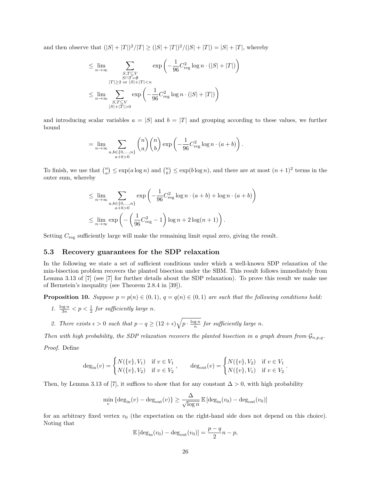and then observe that  $(|S| + |T|)^2/|T| \ge (|S| + |T|)^2/(|S| + |T|) = |S| + |T|$ , whereby

$$
\leq \lim_{n \to \infty} \sum_{\substack{S, T \subseteq V \\ |T| \geq 2 \text{ or } |S| + |T| < n}} \exp\left(-\frac{1}{96}C_{\text{reg}}^2 \log n \cdot (|S| + |T|)\right)
$$
  

$$
\leq \lim_{n \to \infty} \sum_{\substack{S, T \subseteq V \\ |S| + |T| > 0}} \exp\left(-\frac{1}{96}C_{\text{reg}}^2 \log n \cdot (|S| + |T|)\right)
$$

and introducing scalar variables  $a = |S|$  and  $b = |T|$  and grouping according to these values, we further bound

$$
= \lim_{n \to \infty} \sum_{\substack{a,b \in \{0,\ldots,n\} \\ a+b > 0}} {n \choose a} {n \choose b} \exp \left( - \frac{1}{96} C_{\text{reg}}^2 \log n \cdot (a+b) \right).
$$

To finish, we use that  $\binom{n}{a} \le \exp(a \log n)$  and  $\binom{n}{b} \le \exp(b \log n)$ , and there are at most  $(n+1)^2$  terms in the outer sum, whereby

$$
\leq \lim_{n \to \infty} \sum_{\substack{a, b \in \{0, \dots, n\} \\ a+b>0}} \exp\left(-\frac{1}{96} C_{\text{reg}}^2 \log n \cdot (a+b) + \log n \cdot (a+b)\right)
$$
  

$$
\leq \lim_{n \to \infty} \exp\left(-\left(\frac{1}{96} C_{\text{reg}}^2 - 1\right) \log n + 2 \log(n+1)\right).
$$

Setting  $C_{\text{reg}}$  sufficiently large will make the remaining limit equal zero, giving the result.

#### 5.3 Recovery guarantees for the SDP relaxation

In the following we state a set of sufficient conditions under which a well-known SDP relaxation of the min-bisection problem recovers the planted bisection under the SBM. This result follows immediately from Lemma 3.13 of [7] (see [7] for further details about the SDP relaxation). To prove this result we make use of Bernstein's inequality (see Theorem 2.8.4 in [39]).

**Proposition 10.** Suppose  $p = p(n) \in (0, 1)$ ,  $q = q(n) \in (0, 1)$  are such that the following conditions hold:

1.  $\frac{\log n}{3n} < p < \frac{1}{2}$  for sufficiently large n.

2. There exists 
$$
\epsilon > 0
$$
 such that  $p - q \geq (12 + \epsilon) \sqrt{p \cdot \frac{\log n}{n}}$  for sufficiently large n.

Then with high probability, the SDP relaxation recovers the planted bisection in a graph drawn from  $\mathcal{G}_{n,p,q}$ .

Proof. Define

$$
\deg_{\text{in}}(v) = \begin{cases} N(\{v\}, V_1) & \text{if } v \in V_1 \\ N(\{v\}, V_2) & \text{if } v \in V_2 \end{cases}, \qquad \deg_{\text{out}}(v) = \begin{cases} N(\{v\}, V_2) & \text{if } v \in V_1 \\ N(\{v\}, V_1) & \text{if } v \in V_2 \end{cases}.
$$

Then, by Lemma 3.13 of [7], it suffices to show that for any constant  $\Delta > 0$ , with high probability

$$
\min_{v} \left\{ \deg_{\text{in}}(v) - \deg_{\text{out}}(v) \right\} \ge \frac{\Delta}{\sqrt{\log n}} \mathbb{E} \left[ \deg_{\text{in}}(v_0) - \deg_{\text{out}}(v_0) \right]
$$

for an arbitrary fixed vertex  $v_0$  (the expectation on the right-hand side does not depend on this choice). Noting that

$$
\mathbb{E}\left[\deg_{\text{in}}(v_0) - \deg_{\text{out}}(v_0)\right] = \frac{p-q}{2}n - p,
$$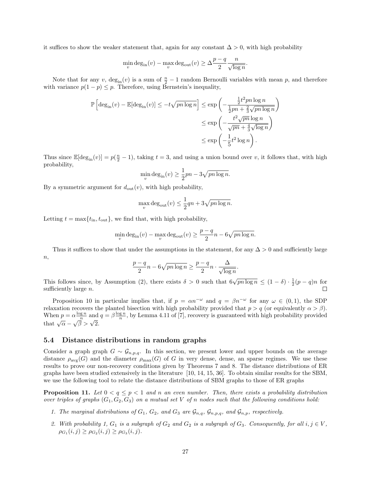it suffices to show the weaker statement that, again for any constant  $\Delta > 0$ , with high probability

$$
\min_v \deg_{\text{in}}(v) - \max_v \deg_{\text{out}}(v) \ge \Delta \frac{p-q}{2} \frac{n}{\sqrt{\log n}}.
$$

Note that for any v,  $deg_{in}(v)$  is a sum of  $\frac{n}{2} - 1$  random Bernoulli variables with mean p, and therefore with variance  $p(1-p) \leq p$ . Therefore, using Bernstein's inequality,

$$
\mathbb{P}\left[\deg_{\text{in}}(v) - \mathbb{E}[\deg_{\text{in}}(v)] \le -t\sqrt{pn\log n}\right] \le \exp\left(-\frac{\frac{1}{2}t^2pn\log n}{\frac{1}{2}pn + \frac{2}{3}\sqrt{pn\log n}}\right)
$$
  

$$
\le \exp\left(-\frac{t^2\sqrt{pn}\log n}{\sqrt{pn} + \frac{4}{3}\sqrt{\log n}}\right)
$$
  

$$
\le \exp\left(-\frac{1}{5}t^2\log n\right).
$$

Thus since  $\mathbb{E}[\deg_{\text{in}}(v)] = p(\frac{n}{2} - 1)$ , taking  $t = 3$ , and using a union bound over v, it follows that, with high probability,

$$
\min_{v} \deg_{\text{in}}(v) \ge \frac{1}{2}pn - 3\sqrt{pn \log n}.
$$

By a symmetric argument for  $d_{\text{out}}(v)$ , with high probability,

$$
\max_{v} \deg_{\text{out}}(v) \le \frac{1}{2}qn + 3\sqrt{pn \log n}.
$$

Letting  $t = \max\{t_{\text{in}}, t_{\text{out}}\}$ , we find that, with high probability,

$$
\min_v \deg_{\text{in}}(v) - \max_v \deg_{\text{out}}(v) \ge \frac{p-q}{2}n - 6\sqrt{pn \log n}.
$$

Thus it suffices to show that under the assumptions in the statement, for any  $\Delta > 0$  and sufficiently large  $n,$ 

$$
\frac{p-q}{2}n - 6\sqrt{pn\log n} \ge \frac{p-q}{2}n \cdot \frac{\Delta}{\sqrt{\log n}}.
$$

This follows since, by Assumption (2), there exists  $\delta > 0$  such that  $6\sqrt{pn \log n} \leq (1 - \delta) \cdot \frac{1}{2}(p - q)n$  for sufficiently large  $n$ .

Proposition 10 in particular implies that, if  $p = \alpha n^{-\omega}$  and  $q = \beta n^{-\omega}$  for any  $\omega \in (0,1)$ , the SDP relaxation recovers the planted bisection with high probability provided that  $p > q$  (or equivalently  $\alpha > \beta$ ). When  $p = \alpha \frac{\log n}{n}$  and  $q = \beta \frac{\log n}{n}$ , by Lemma 4.11 of [7], recovery is guaranteed with high probability provided that  $\sqrt{\alpha} - \sqrt{\beta} > \sqrt{2}$ .

#### 5.4 Distance distributions in random graphs

Consider a graph graph  $G \sim \mathcal{G}_{n,p,q}$ . In this section, we present lower and upper bounds on the average distance  $\rho_{\text{avg}}(G)$  and the diameter  $\rho_{\text{max}}(G)$  of G in very dense, dense, an sparse regimes. We use these results to prove our non-recovery conditions given by Theorems 7 and 8. The distance distributions of ER graphs have been studied extensively in the literature [10, 14, 15, 36]. To obtain similar results for the SBM, we use the following tool to relate the distance distributions of SBM graphs to those of ER graphs

**Proposition 11.** Let  $0 < q \leq p < 1$  and n an even number. Then, there exists a probability distribution over triples of graphs  $(G_1, G_2, G_3)$  on a mutual set V of n nodes such that the following conditions hold:

- 1. The marginal distributions of  $G_1$ ,  $G_2$ , and  $G_3$  are  $\mathcal{G}_{n,q}$ ,  $\mathcal{G}_{n,p,q}$ , and  $\mathcal{G}_{n,p}$ , respectively.
- 2. With probability 1,  $G_1$  is a subgraph of  $G_2$  and  $G_2$  is a subgraph of  $G_3$ . Consequently, for all  $i, j \in V$ ,  $\rho_{G_1}(i,j) \ge \rho_{G_2}(i,j) \ge \rho_{G_3}(i,j).$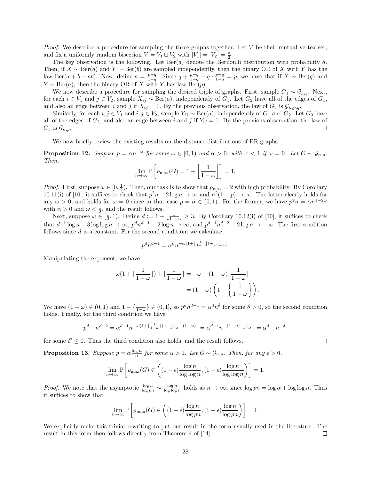*Proof.* We describe a procedure for sampling the three graphs together. Let  $V$  be their mutual vertex set, and fix a uniformly random bisection  $V = V_1 \sqcup V_2$  with  $|V_1| = |V_2| = \frac{n}{2}$ .

The key observation is the following. Let  $Ber(a)$  denote the Bernoulli distribution with probability a. Then, if  $X \sim \text{Ber}(a)$  and  $Y \sim \text{Ber}(b)$  are sampled independently, then the binary OR of X with Y has the law Ber(a + b − ab). Now, define  $a = \frac{p-q}{1-q}$ . Since  $q + \frac{p-q}{1-q} - q \cdot \frac{p-q}{1-q} = p$ , we have that if  $X \sim \text{Ber}(q)$  and  $Y \sim \text{Ber}(a)$ , then the binary OR of X with Y has law  $\text{Ber}(p)$ .

We now describe a procedure for sampling the desired triple of graphs. First, sample  $G_1 \sim \mathcal{G}_{n,q}$ . Next, for each  $i \in V_1$  and  $j \in V_2$ , sample  $X_{ij} \sim \text{Ber}(a)$ , independently of  $G_1$ . Let  $G_2$  have all of the edges of  $G_1$ , and also an edge between i and j if  $X_{ij} = 1$ . By the previous observation, the law of  $G_2$  is  $\mathcal{G}_{n,p,q}$ .

Similarly, for each  $i, j \in V_1$  and  $i, j \in V_2$ , sample  $Y_{ij} \sim \text{Ber}(a)$ , independently of  $G_1$  and  $G_2$ . Let  $G_3$  have all of the edges of  $G_2$ , and also an edge between i and j if  $Y_{ij} = 1$ . By the previous observation, the law of  $G_3$  is  $\mathcal{G}_{n,p}$ .  $\Box$ 

We now briefly review the existing results on the distance distributions of ER graphs.

**Proposition 12.** Suppose  $p = \alpha n^{-\omega}$  for some  $\omega \in [0,1)$  and  $\alpha > 0$ , with  $\alpha < 1$  if  $\omega = 0$ . Let  $G \sim \mathcal{G}_{n,p}$ . Then,

$$
\lim_{n \to \infty} \mathbb{P}\left[\rho_{\max}(G) = 1 + \left\lfloor \frac{1}{1 - \omega} \right\rfloor \right] = 1.
$$

*Proof.* First, suppose  $\omega \in [0, \frac{1}{2})$ . Then, our task is to show that  $\rho_{\text{max}} = 2$  with high probability. By Corollary 10.11(i) of [10], it suffices to check that  $p^2n - 2\log n \to \infty$  and  $n^2(1-p) \to \infty$ . The latter clearly holds for any  $\omega > 0$ , and holds for  $\omega = 0$  since in that case  $p = \alpha \in (0, 1)$ . For the former, we have  $p^2 n = \alpha n^{1-2\omega}$ with  $\alpha > 0$  and  $\omega < \frac{1}{2}$ , and the result follows.

Next, suppose  $\omega \in [\frac{1}{2}, 1)$ . Define  $d := 1 + \lfloor \frac{1}{1-\omega} \rfloor \geq 3$ . By Corollary 10.12(i) of [10], it suffices to check that  $d^{-1}\log n - 3\log\log n \to \infty$ ,  $p^dn^{d-1} - 2\log n \to \infty$ , and  $p^{d-1}n^{d-2} - 2\log n \to -\infty$ . The first condition follows since d is a constant. For the second condition, we calculate

$$
p^d n^{d-1} = \alpha^d n^{-\omega(1 + \lfloor \frac{1}{1 - \omega} \rfloor) + \lfloor \frac{1}{1 - \omega} \rfloor}.
$$

Manipulating the exponent, we have

$$
-\omega(1 + \lfloor \frac{1}{1 - \omega} \rfloor) + \lfloor \frac{1}{1 - \omega} \rfloor = -\omega + (1 - \omega) \lfloor \frac{1}{1 - \omega} \rfloor
$$

$$
= (1 - \omega) \left( 1 - \left\{ \frac{1}{1 - \omega} \right\} \right).
$$

We have  $(1 - \omega) \in (0, 1)$  and  $1 - \{\frac{1}{1 - \omega}\}\in (0, 1]$ , so  $p^d n^{d-1} = \alpha^d n^{\delta}$  for some  $\delta > 0$ , so the second condition holds. Finally, for the third condition we have

$$
p^{d-1}n^{d-2}=\alpha^{d-1}n^{-\omega(1+\lfloor\frac{1}{1-\omega}\rfloor)+\lfloor\frac{1}{1-\omega}-(1-\omega)\rfloor}=\alpha^{d-1}n^{-(1-\omega)\{\frac{1}{1-\omega}\}}=\alpha^{d-1}n^{-\delta'}
$$

for some  $\delta' \leq 0$ . Thus the third condition also holds, and the result follows.

**Proposition 13.** Suppose  $p = \alpha \frac{\log n}{n}$  for some  $\alpha > 1$ . Let  $G \sim \mathcal{G}_{n,p}$ . Then, for any  $\epsilon > 0$ ,

$$
\lim_{n \to \infty} \mathbb{P}\left[\rho_{\max}(G) \in \left( (1 - \epsilon) \frac{\log n}{\log \log n}, (1 + \epsilon) \frac{\log n}{\log \log n} \right) \right] = 1.
$$

*Proof.* We note that the asymptotic  $\frac{\log n}{\log pn} \sim \frac{\log n}{\log \log n}$  holds as  $n \to \infty$ , since  $\log pn = \log \alpha + \log \log n$ . Thus it suffices to show that

$$
\lim_{n \to \infty} \mathbb{P}\left[\rho_{\max}(G) \in \left( (1 - \epsilon) \frac{\log n}{\log pn}, (1 + \epsilon) \frac{\log n}{\log pn} \right) \right] = 1.
$$

We explicitly make this trivial rewriting to put our result in the form usually used in the literature. The result in this form then follows directly from Theorem 4 of [14].  $\Box$ 

 $\Box$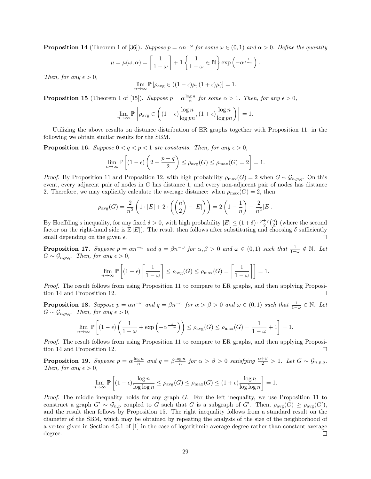**Proposition 14** (Theorem 1 of [36]). Suppose  $p = \alpha n^{-\omega}$  for some  $\omega \in (0,1)$  and  $\alpha > 0$ . Define the quantity

$$
\mu = \mu(\omega, \alpha) = \left\lceil \frac{1}{1 - \omega} \right\rceil + 1 \left\{ \frac{1}{1 - \omega} \in \mathbb{N} \right\} \exp \left( -\alpha^{\frac{1}{1 - \omega}} \right).
$$

Then, for any  $\epsilon > 0$ ,

$$
\lim_{n \to \infty} \mathbb{P}\left[\rho_{\text{avg}} \in ((1 - \epsilon)\mu, (1 + \epsilon)\mu)\right] = 1.
$$

**Proposition 15** (Theorem 1 of [15]). Suppose  $p = \alpha \frac{\log n}{n}$  for some  $\alpha > 1$ . Then, for any  $\epsilon > 0$ ,

$$
\lim_{n \to \infty} \mathbb{P}\left[\rho_{\text{avg}} \in \left( (1 - \epsilon) \frac{\log n}{\log pn}, (1 + \epsilon) \frac{\log n}{\log pn} \right) \right] = 1.
$$

Utilizing the above results on distance distribution of ER graphs together with Proposition 11, in the following we obtain similar results for the SBM.

**Proposition 16.** Suppose  $0 < q < p < 1$  are constants. Then, for any  $\epsilon > 0$ ,

$$
\lim_{n \to \infty} \mathbb{P}\left[ (1 - \epsilon) \left( 2 - \frac{p + q}{2} \right) \le \rho_{\text{avg}}(G) \le \rho_{\text{max}}(G) = 2 \right] = 1.
$$

*Proof.* By Proposition 11 and Proposition 12, with high probability  $\rho_{\text{max}}(G) = 2$  when  $G \sim \mathcal{G}_{n,p,q}$ . On this event, every adjacent pair of nodes in G has distance 1, and every non-adjacent pair of nodes has distance 2. Therefore, we may explicitly calculate the average distance: when  $\rho_{\text{max}}(G) = 2$ , then

$$
\rho_{\text{avg}}(G) = \frac{2}{n^2} \left( 1 \cdot |E| + 2 \cdot \left( \binom{n}{2} - |E| \right) \right) = 2 \left( 1 - \frac{1}{n} \right) - \frac{2}{n^2} |E|.
$$

By Hoeffding's inequality, for any fixed  $\delta > 0$ , with high probability  $|E| \leq (1+\delta) \cdot \frac{p+q}{2} {n \choose 2}$  (where the second factor on the right-hand side is  $\mathbb{E}|E|$ . The result then follows after substituting and choosing  $\delta$  sufficiently small depending on the given  $\epsilon$ . small depending on the given  $\epsilon$ .

**Proposition 17.** Suppose  $p = \alpha n^{-\omega}$  and  $q = \beta n^{-\omega}$  for  $\alpha, \beta > 0$  and  $\omega \in (0, 1)$  such that  $\frac{1}{1-\omega} \notin \mathbb{N}$ . Let  $G \sim \mathcal{G}_{n,p,q}$ . Then, for any  $\epsilon > 0$ ,

$$
\lim_{n \to \infty} \mathbb{P}\left[ (1 - \epsilon) \left\lceil \frac{1}{1 - \omega} \right\rceil \le \rho_{\text{avg}}(G) \le \rho_{\text{max}}(G) = \left\lceil \frac{1}{1 - \omega} \right\rceil \right] = 1.
$$

Proof. The result follows from using Proposition 11 to compare to ER graphs, and then applying Proposition 14 and Proposition 12.  $\Box$ 

**Proposition 18.** Suppose  $p = \alpha n^{-\omega}$  and  $q = \beta n^{-\omega}$  for  $\alpha > \beta > 0$  and  $\omega \in (0,1)$  such that  $\frac{1}{1-\omega} \in \mathbb{N}$ . Let  $G \sim \mathcal{G}_{n,p,q}$ . Then, for any  $\epsilon > 0$ ,

$$
\lim_{n \to \infty} \mathbb{P}\left[ (1 - \epsilon) \left( \frac{1}{1 - \omega} + \exp\left( -\alpha^{\frac{1}{1 - \omega}} \right) \right) \le \rho_{\text{avg}}(G) \le \rho_{\text{max}}(G) = \frac{1}{1 - \omega} + 1 \right] = 1.
$$

Proof. The result follows from using Proposition 11 to compare to ER graphs, and then applying Proposition 14 and Proposition 12.  $\Box$ 

**Proposition 19.** Suppose  $p = \alpha \frac{\log n}{n}$  and  $q = \beta \frac{\log n}{n}$  for  $\alpha > \beta > 0$  satisfying  $\frac{\alpha + \beta}{2} > 1$ . Let  $G \sim \mathcal{G}_{n,p,q}$ . Then, for any  $\epsilon > 0$ ,

$$
\lim_{n \to \infty} \mathbb{P}\left[ (1 - \epsilon) \frac{\log n}{\log \log n} \le \rho_{\text{avg}}(G) \le \rho_{\text{max}}(G) \le (1 + \epsilon) \frac{\log n}{\log \log n} \right] = 1.
$$

Proof. The middle inequality holds for any graph G. For the left inequality, we use Proposition 11 to construct a graph  $G' \sim \mathcal{G}_{n,p}$  coupled to G such that G is a subgraph of  $G'$ . Then,  $\rho_{\text{avg}}(G) \ge \rho_{\text{avg}}(G')$ , and the result then follows by Proposition 15. The right inequality follows from a standard result on the diameter of the SBM, which may be obtained by repeating the analysis of the size of the neighborhood of a vertex given in Section 4.5.1 of [1] in the case of logarithmic average degree rather than constant average degree.  $\Box$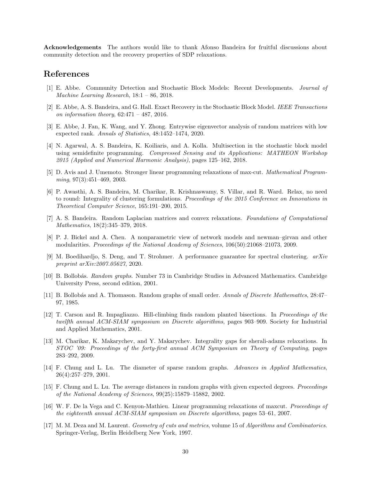Acknowledgements The authors would like to thank Afonso Bandeira for fruitful discussions about community detection and the recovery properties of SDP relaxations.

## References

- [1] E. Abbe. Community Detection and Stochastic Block Models: Recent Developments. Journal of Machine Learning Research, 18:1 – 86, 2018.
- [2] E. Abbe, A. S. Bandeira, and G. Hall. Exact Recovery in the Stochastic Block Model. IEEE Transactions on information theory,  $62:471 - 487$ ,  $2016$ .
- [3] E. Abbe, J. Fan, K. Wang, and Y. Zhong. Entrywise eigenvector analysis of random matrices with low expected rank. Annals of Statistics, 48:1452–1474, 2020.
- [4] N. Agarwal, A. S. Bandeira, K. Koiliaris, and A. Kolla. Multisection in the stochastic block model using semidefinite programming. Compressed Sensing and its Applications: MATHEON Workshop 2015 (Applied and Numerical Harmonic Analysis), pages 125–162, 2018.
- [5] D. Avis and J. Umemoto. Stronger linear programming relaxations of max-cut. Mathematical Programming, 97(3):451-469, 2003.
- [6] P. Awasthi, A. S. Bandeira, M. Charikar, R. Krishnaswamy, S. Villar, and R. Ward. Relax, no need to round: Integrality of clustering formulations. Proceedings of the 2015 Conference on Innovations in Theoretical Computer Science, 165:191–200, 2015.
- [7] A. S. Bandeira. Random Laplacian matrices and convex relaxations. Foundations of Computational Mathematics, 18(2):345–379, 2018.
- [8] P. J. Bickel and A. Chen. A nonparametric view of network models and newman–girvan and other modularities. Proceedings of the National Academy of Sciences, 106(50):21068–21073, 2009.
- [9] M. Boedihardjo, S. Deng, and T. Strohmer. A performance guarantee for spectral clustering. arXiv preprint arXiv:2007.05627, 2020.
- [10] B. Bollobás. Random graphs. Number 73 in Cambridge Studies in Advanced Mathematics. Cambridge University Press, second edition, 2001.
- [11] B. Bollobás and A. Thomason. Random graphs of small order. Annals of Discrete Mathemattcs, 28:47– 97, 1985.
- [12] T. Carson and R. Impagliazzo. Hill-climbing finds random planted bisections. In Proceedings of the twelfth annual ACM-SIAM symposium on Discrete algorithms, pages 903–909. Society for Industrial and Applied Mathematics, 2001.
- [13] M. Charikar, K. Makarychev, and Y. Makarychev. Integrality gaps for sherali-adams relaxations. In STOC '09: Proceedings of the forty-first annual ACM Symposium on Theory of Computing, pages 283–292, 2009.
- [14] F. Chung and L. Lu. The diameter of sparse random graphs. Advances in Applied Mathematics, 26(4):257–279, 2001.
- [15] F. Chung and L. Lu. The average distances in random graphs with given expected degrees. Proceedings of the National Academy of Sciences, 99(25):15879–15882, 2002.
- [16] W. F. De la Vega and C. Kenyon-Mathieu. Linear programming relaxations of maxcut. Proceedings of the eighteenth annual ACM-SIAM symposium on Discrete algorithms, pages 53–61, 2007.
- [17] M. M. Deza and M. Laurent. Geometry of cuts and metrics, volume 15 of Algorithms and Combinatorics. Springer-Verlag, Berlin Heidelberg New York, 1997.